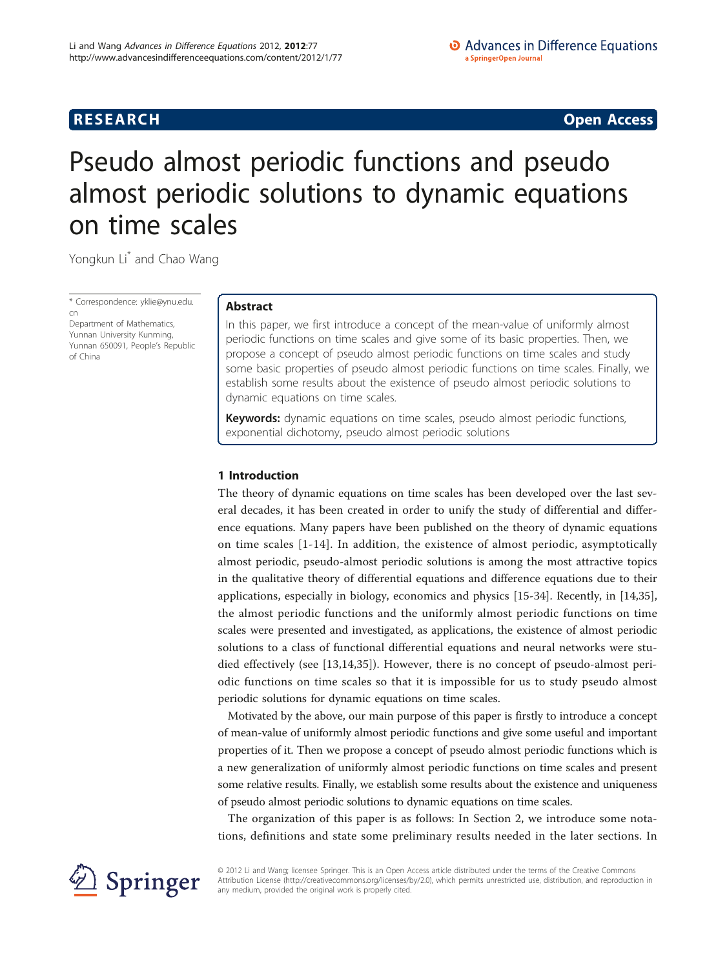**RESEARCH CONTROL** RESEARCH COMMUNISMENT CONTROL CONTROL CONTROL CONTROL CONTROL CONTROL CONTROL CONTROL CONTROL CONTROL CONTROL CONTROL CONTROL CONTROL CONTROL CONTROL CONTROL CONTROL CONTROL CONTROL CONTROL CONTROL CONTR

# Pseudo almost periodic functions and pseudo almost periodic solutions to dynamic equations on time scales

Yongkun Li<sup>\*</sup> and Chao Wang

\* Correspondence: [yklie@ynu.edu.](mailto:yklie@ynu.edu.cn) [cn](mailto:yklie@ynu.edu.cn) Department of Mathematics, Yunnan University Kunming, Yunnan 650091, People's Republic of China

# Abstract

In this paper, we first introduce a concept of the mean-value of uniformly almost periodic functions on time scales and give some of its basic properties. Then, we propose a concept of pseudo almost periodic functions on time scales and study some basic properties of pseudo almost periodic functions on time scales. Finally, we establish some results about the existence of pseudo almost periodic solutions to dynamic equations on time scales.

Keywords: dynamic equations on time scales, pseudo almost periodic functions, exponential dichotomy, pseudo almost periodic solutions

# 1 Introduction

The theory of dynamic equations on time scales has been developed over the last several decades, it has been created in order to unify the study of differential and difference equations. Many papers have been published on the theory of dynamic equations on time scales [[1](#page-22-0)-[14](#page-23-0)]. In addition, the existence of almost periodic, asymptotically almost periodic, pseudo-almost periodic solutions is among the most attractive topics in the qualitative theory of differential equations and difference equations due to their applications, especially in biology, economics and physics [[15-34](#page-23-0)]. Recently, in [\[14,35](#page-23-0)], the almost periodic functions and the uniformly almost periodic functions on time scales were presented and investigated, as applications, the existence of almost periodic solutions to a class of functional differential equations and neural networks were studied effectively (see [[13,14,35](#page-23-0)]). However, there is no concept of pseudo-almost periodic functions on time scales so that it is impossible for us to study pseudo almost periodic solutions for dynamic equations on time scales.

Motivated by the above, our main purpose of this paper is firstly to introduce a concept of mean-value of uniformly almost periodic functions and give some useful and important properties of it. Then we propose a concept of pseudo almost periodic functions which is a new generalization of uniformly almost periodic functions on time scales and present some relative results. Finally, we establish some results about the existence and uniqueness of pseudo almost periodic solutions to dynamic equations on time scales.

The organization of this paper is as follows: In Section 2, we introduce some notations, definitions and state some preliminary results needed in the later sections. In



© 2012 Li and Wang; licensee Springer. This is an Open Access article distributed under the terms of the Creative Commons Attribution License [\(http://creativecommons.org/licenses/by/2.0](http://creativecommons.org/licenses/by/2.0)), which permits unrestricted use, distribution, and reproduction in any medium, provided the original work is properly cited.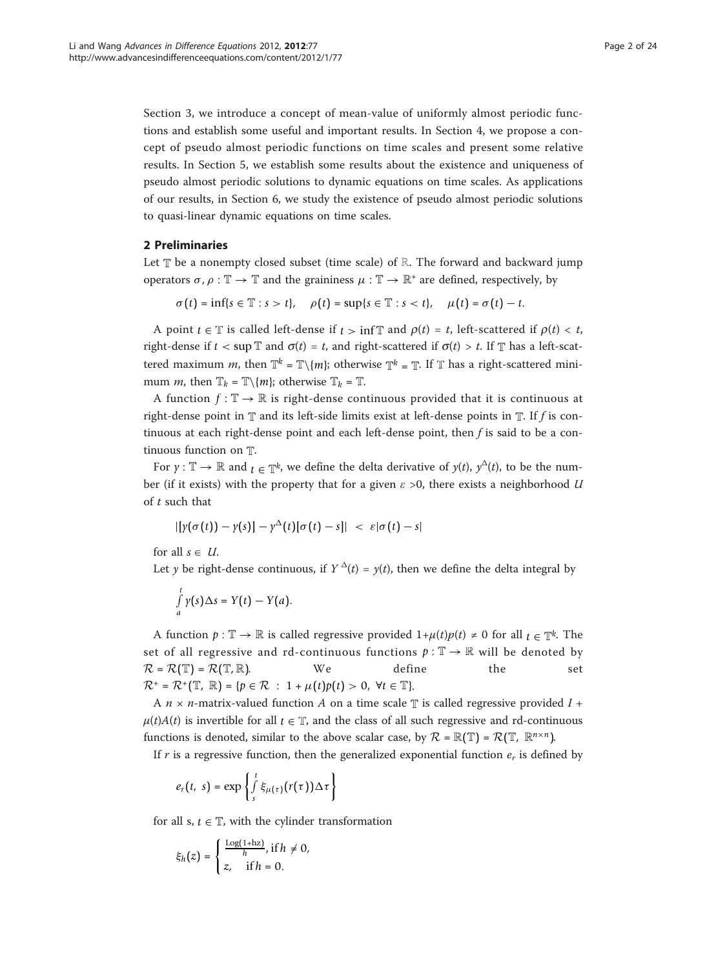Section 3, we introduce a concept of mean-value of uniformly almost periodic functions and establish some useful and important results. In Section 4, we propose a concept of pseudo almost periodic functions on time scales and present some relative results. In Section 5, we establish some results about the existence and uniqueness of pseudo almost periodic solutions to dynamic equations on time scales. As applications of our results, in Section 6, we study the existence of pseudo almost periodic solutions to quasi-linear dynamic equations on time scales.

# 2 Preliminaries

Let T be a nonempty closed subset (time scale) of ℝ. The forward and backward jump operators  $\sigma$ ,  $\rho : \mathbb{T} \to \mathbb{T}$  and the graininess  $\mu : \mathbb{T} \to \mathbb{R}^+$  are defined, respectively, by

 $\sigma(t) = \inf \{ s \in \mathbb{T} : s > t \}, \quad \rho(t) = \sup \{ s \in \mathbb{T} : s < t \}, \quad \mu(t) = \sigma(t) - t.$ 

A point *t*  $\in$  T is called left-dense if *t* > inf T and  $\rho(t) = t$ , left-scattered if  $\rho(t) < t$ , right-dense if  $t < \sup \mathbb{T}$  and  $\sigma(t) = t$ , and right-scattered if  $\sigma(t) > t$ . If  $\mathbb{T}$  has a left-scattered maximum *m*, then  $\mathbb{T}^k = \mathbb{T}\setminus\{m\}$ ; otherwise  $\mathbb{T}^k = \mathbb{T}$ . If  $\mathbb{T}$  has a right-scattered minimum *m*, then  $\mathbb{T}_k = \mathbb{T} \setminus \{m\}$ ; otherwise  $\mathbb{T}_k = \mathbb{T}$ .

A function  $f: \mathbb{T} \to \mathbb{R}$  is right-dense continuous provided that it is continuous at right-dense point in  $\mathbb T$  and its left-side limits exist at left-dense points in  $\mathbb T$ . If f is continuous at each right-dense point and each left-dense point, then  $f$  is said to be a continuous function on T.

For  $\gamma : \mathbb{T} \to \mathbb{R}$  and  $t \in \mathbb{T}^k$ , we define the delta derivative of  $y(t)$ ,  $y^{\Delta}(t)$ , to be the number (if it exists) with the property that for a given  $\varepsilon > 0$ , there exists a neighborhood U of t such that

$$
|[\gamma(\sigma(t)) - \gamma(s)] - \gamma^{\Delta}(t)[\sigma(t) - s]| < \varepsilon |\sigma(t) - s|
$$

for all  $s \in U$ .

Let y be right-dense continuous, if  $Y^{\Delta}(t) = y(t)$ , then we define the delta integral by

$$
\int_a^t \gamma(s) \Delta s = Y(t) - Y(a).
$$

A function  $p : \mathbb{T} \to \mathbb{R}$  is called regressive provided  $1 + \mu(t)p(t) \neq 0$  for all  $t \in \mathbb{T}^k$ . The set of all regressive and rd-continuous functions  $p: \mathbb{T} \to \mathbb{R}$  will be denoted by  $R = R(T) = R(T, R)$ . We define the set  $\mathcal{R}^+ = \mathcal{R}^+(\mathbb{T}, \mathbb{R}) = \{p \in \mathcal{R} : 1 + \mu(t)p(t) > 0, \forall t \in \mathbb{T}\}.$ 

A  $n \times n$ -matrix-valued function A on a time scale  $\mathbb T$  is called regressive provided I +  $\mu(t)A(t)$  is invertible for all  $t \in \mathbb{T}$ , and the class of all such regressive and rd-continuous functions is denoted, similar to the above scalar case, by  $\mathcal{R} = \mathbb{R}(\mathbb{T}) = \mathcal{R}(\mathbb{T}, \mathbb{R}^{n \times n})$ .

If r is a regressive function, then the generalized exponential function  $e_r$  is defined by

$$
e_r(t, s) = \exp\left\{\int_s^t \xi_{\mu(\tau)}(r(\tau)) \Delta \tau\right\}
$$

for all s,  $t \in \mathbb{T}$ , with the cylinder transformation

$$
\xi_h(z) = \begin{cases} \frac{\text{Log}(1+\text{h}z)}{h}, \text{if } h \neq 0, \\ z, \quad \text{if } h = 0. \end{cases}
$$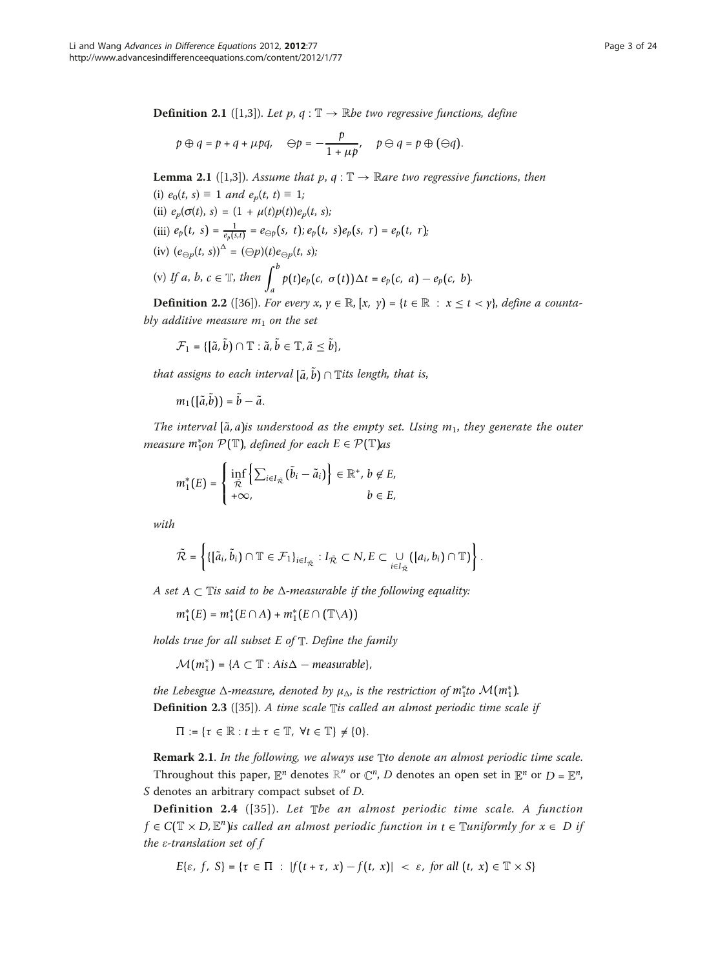**Definition 2.[1](#page-22-0)** ([1,[3](#page-22-0)]). Let p,  $q : \mathbb{T} \to \mathbb{R}$  be two regressive functions, define

$$
p \oplus q = p + q + \mu pq
$$
,  $\ominus p = -\frac{p}{1 + \mu p}$ ,  $p \ominus q = p \oplus (\ominus q)$ .

**Lemma 2.1** ([\[1,3](#page-22-0)]). Assume that  $p, q : \mathbb{T} \to \mathbb{R}$ are two regressive functions, then (i)  $e_0(t, s) \equiv 1$  and  $e_n(t, t) \equiv 1$ ;

(ii) 
$$
e_p(\sigma(t), s) = (1 + \mu(t)p(t))e_p(t, s);
$$
  
\n(iii)  $e_p(t, s) = \frac{1}{e_p(s,t)} = e_{\ominus p}(s, t); e_p(t, s)e_p(s, r) = e_p(t, r);$   
\n(iv)  $(e_{\ominus p}(t, s))^{\Delta} = (\ominus p)(t)e_{\ominus p}(t, s);$   
\n(v) If  $a, b, c \in \mathbb{T}$ , then  $\int_a^b p(t)e_p(c, \sigma(t)) \Delta t = e_p(c, a) - e_p(c, b).$ 

**Definition 2.2** ([\[36](#page-23-0)]). For every  $x, y \in \mathbb{R}$ ,  $[x, y] = \{t \in \mathbb{R} : x \le t \le y\}$ , define a countably additive measure  $m_1$  on the set

$$
\mathcal{F}_1 = \{ [\tilde{a}, \tilde{b}) \cap \mathbb{T} : \tilde{a}, \tilde{b} \in \mathbb{T}, \tilde{a} \leq \tilde{b} \},\
$$

that assigns to each interval  $[\tilde{a}, \tilde{b}) \cap \mathbb{T}$ its length, that is,

 $m_1([\tilde{a}, b]) = b - \tilde{a}.$ 

The interval  $[\tilde{a}, a]$  is understood as the empty set. Using  $m_1$ , they generate the outer  $measure \; m_1^*$ on  $\mathcal{P}(\mathbb{T})$ , defined for each  $E \in \mathcal{P}(\mathbb{T})$ as

$$
m_1^*(E) = \begin{cases} \inf_{\tilde{\mathcal{R}}} \left\{ \sum_{i \in I_{\tilde{\mathcal{R}}}} (\tilde{b}_i - \tilde{a}_i) \right\} \in \mathbb{R}^+, \, b \notin E, \\ +\infty, & b \in E, \end{cases}
$$

with

$$
\widetilde{\mathcal{R}} = \left\{ \{ [\widetilde{a}_i, \widetilde{b}_i] \cap \mathbb{T} \in \mathcal{F}_1 \}_{i \in I_{\tilde{\mathcal{R}}}} : I_{\tilde{\mathcal{R}}} \subset N, E \subset \bigcup_{i \in I_{\tilde{\mathcal{R}}}} ([a_i, b_i] \cap \mathbb{T}) \right\}.
$$

A set  $A \subset \mathbb{T}$  *is said to be*  $\Delta$ *-measurable if the following equality:* 

$$
m_1^*(E) = m_1^*(E \cap A) + m_1^*(E \cap (\mathbb{T} \backslash A))
$$

holds true for all subset  $E$  of  $T$ . Define the family

 $\mathcal{M}(m_1^*) = \{A \subset \mathbb{T} : A \in \Delta - \text{measurable}\},\$ 

the Lebesgue  $\Delta$ -measure, denoted by  $\mu_{\Delta}$ , is the restriction of  $m_1^*$ to  $\mathcal{M}(m_1^*)$ . **Definition 2.3** ([[35](#page-23-0)]). A time scale  $\mathbb{T}$ is called an almost periodic time scale if

 $\Pi := \{ \tau \in \mathbb{R} : t \pm \tau \in \mathbb{T}, \forall t \in \mathbb{T} \} \neq \{0\}.$ 

**Remark 2.1**. In the following, we always use  $\mathbb{T}$ to denote an almost periodic time scale. Throughout this paper,  $\mathbb{E}^n$  denotes  $\mathbb{R}^n$  or  $\mathbb{C}^n$ , D denotes an open set in  $\mathbb{E}^n$  or  $D = \mathbb{E}^n$ , S denotes an arbitrary compact subset of D.

Definition 2.4 ([[35](#page-23-0)]). Let Tbe an almost periodic time scale. A function *f* ∈  $C(T \times D, E^n)$  *is called an almost periodic function in t* ∈ Tuniformly for  $x \in D$  if the  $\varepsilon$ -translation set of  $f$ 

$$
E\{\varepsilon,~f,~S\}=\{\tau\in\Pi~:~|f\big(t+\tau,~x\big)-f\big(t,~x\big)|~<~\varepsilon,~\text{for all~} (t,~x)\in\mathbb{T}\times S\}
$$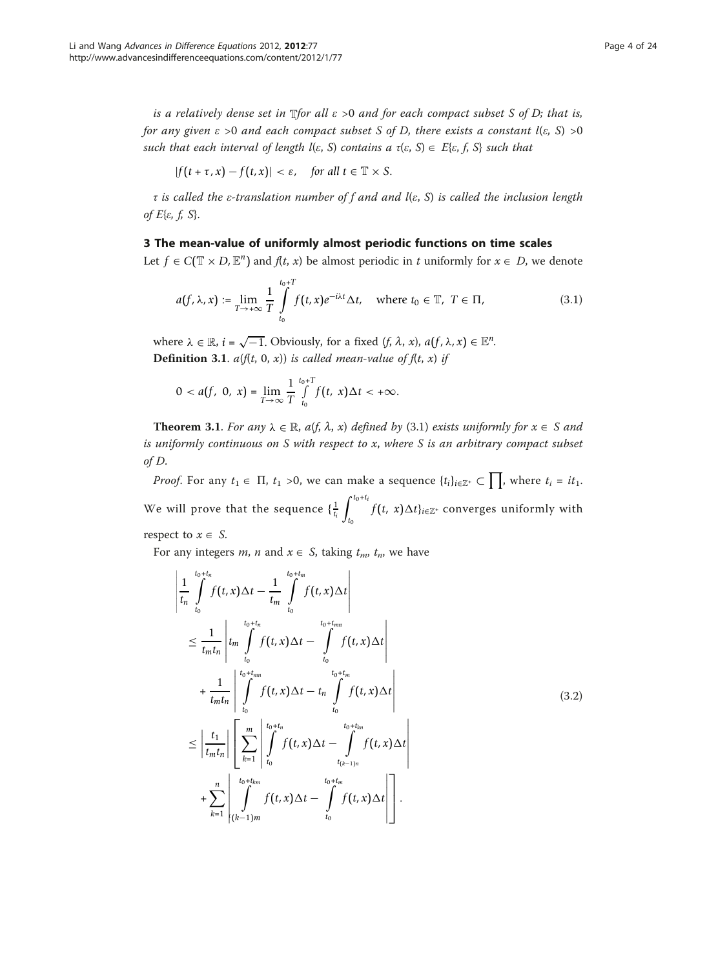is a relatively dense set in  $\mathbb{T}$ for all  $\varepsilon > 0$  and for each compact subset S of D; that is, for any given  $\varepsilon > 0$  and each compact subset S of D, there exists a constant  $l(\varepsilon, S) > 0$ such that each interval of length  $l(\varepsilon, S)$  contains  $\alpha \tau(\varepsilon, S) \in E\{\varepsilon, f, S\}$  such that

$$
|f(t+\tau,x)-f(t,x)|<\varepsilon,\quad\text{for all }t\in\mathbb{T}\times S.
$$

 $\tau$  is called the *ε*-translation number of f and and  $l(\varepsilon, S)$  is called the inclusion length of  $E\{\varepsilon, f, S\}.$ 

# 3 The mean-value of uniformly almost periodic functions on time scales

Let  $f \in C(\mathbb{T} \times D, \mathbb{E}^n)$  and  $f(t, x)$  be almost periodic in t uniformly for  $x \in D$ , we denote

$$
a(f, \lambda, x) := \lim_{T \to +\infty} \frac{1}{T} \int_{t_0}^{t_0+T} f(t, x) e^{-i\lambda t} \Delta t, \quad \text{where } t_0 \in \mathbb{T}, \ T \in \Pi,
$$
 (3.1)

where  $\lambda \in \mathbb{R}$ ,  $i = \sqrt{-1}$ . Obviously, for a fixed  $(f, \lambda, x)$ ,  $a(f, \lambda, x) \in \mathbb{E}^n$ . **Definition 3.1.**  $a(f(t, 0, x))$  is called mean-value of  $f(t, x)$  if

$$
0 < a(f, 0, x) = \lim_{T \to \infty} \frac{1}{T} \int_{t_0}^{t_0+T} f(t, x) \Delta t < +\infty.
$$

**Theorem 3.1.** For any  $\lambda \in \mathbb{R}$ , a(f,  $\lambda$ , x) defined by (3.1) exists uniformly for  $x \in S$  and is uniformly continuous on  $S$  with respect to  $x$ , where  $S$  is an arbitrary compact subset of D.

*Proof.* For any  $t_1 \in \Pi$ ,  $t_1 > 0$ , we can make a sequence  $\{t_i\}_{i \in \mathbb{Z}^+} \subset \prod$ , where  $t_i = it_1$ . We will prove that the sequence  $\{\frac{1}{t_i}\}$  $\int_0^{t_0+t_i}$  $f(t, x)$ ∆*t*}<sub>*i*∈Z+</sub> converges uniformly with respect to  $x \in S$ .

For any integers *m*, *n* and  $x \in S$ , taking  $t_m$ ,  $t_n$ , we have

$$
\left| \frac{1}{t_{n}} \int_{t_{0}}^{t_{0}+t_{n}} f(t, x) \Delta t - \frac{1}{t_{m}} \int_{t_{0}}^{t_{0}+t_{m}} f(t, x) \Delta t \right|
$$
\n
$$
\leq \frac{1}{t_{m}t_{n}} \left| t_{m} \int_{t_{0}}^{t_{0}+t_{n}} f(t, x) \Delta t - \int_{t_{0}}^{t_{0}+t_{m}} f(t, x) \Delta t \right|
$$
\n
$$
+ \frac{1}{t_{m}t_{n}} \left| \int_{t_{0}}^{t_{0}+t_{mn}} f(t, x) \Delta t - t_{n} \int_{t_{0}}^{t_{0}+t_{m}} f(t, x) \Delta t \right|
$$
\n
$$
\leq \left| \frac{t_{1}}{t_{m}t_{n}} \right| \left[ \sum_{k=1}^{m} \left| \int_{t_{0}}^{t_{0}+t_{n}} f(t, x) \Delta t - \int_{t_{(k-1)n}}^{t_{0}+t_{kn}} f(t, x) \Delta t \right|
$$
\n
$$
+ \sum_{k=1}^{n} \left| \int_{t_{k-1}}^{t_{0}+t_{km}} f(t, x) \Delta t - \int_{t_{0}}^{t_{0}+t_{m}} f(t, x) \Delta t \right| \right].
$$
\n(3.2)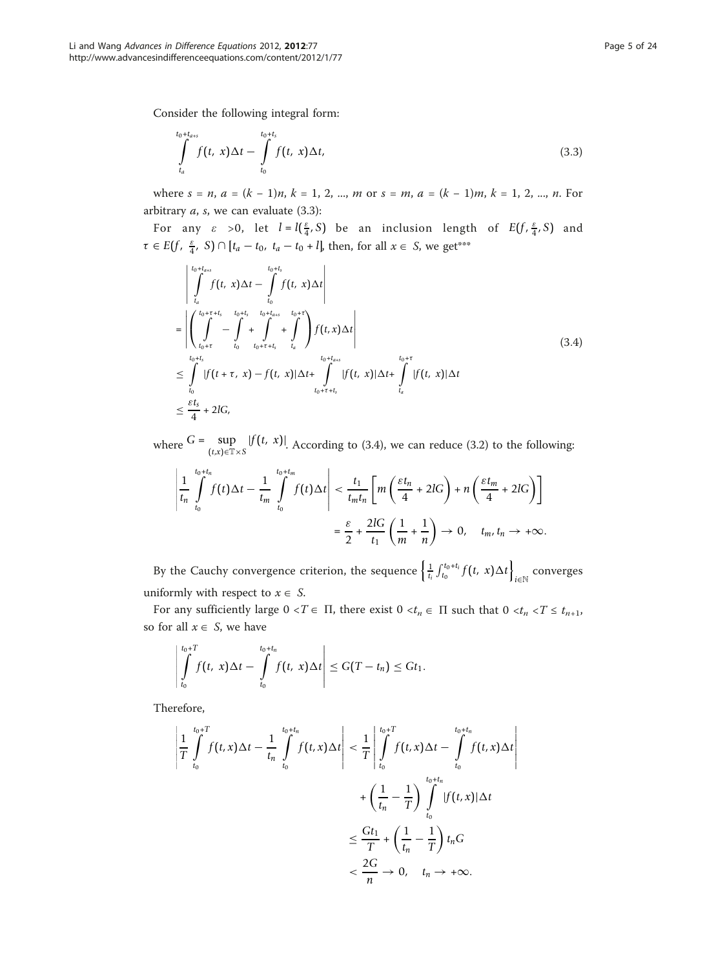Consider the following integral form:

$$
\int_{t_a}^{t_0+t_{a+s}} f(t, x) \Delta t - \int_{t_0}^{t_0+t_s} f(t, x) \Delta t,
$$
\n(3.3)

where  $s = n$ ,  $a = (k - 1)n$ ,  $k = 1, 2, ..., m$  or  $s = m$ ,  $a = (k - 1)m$ ,  $k = 1, 2, ..., n$ . For arbitrary  $a$ ,  $s$ , we can evaluate (3.3):

For any  $\varepsilon > 0$ , let  $l = l(\frac{\varepsilon}{4}, S)$  be an inclusion length of  $E(f, \frac{\varepsilon}{4}, S)$  and  $\tau \in E(f, \frac{\varepsilon}{4}, S) \cap [t_a - t_0, t_a - t_0 + l]$ , then, for all  $x \in S$ , we get<sup>\*\*\*</sup>

$$
\begin{aligned}\n&\left|\int_{t_a}^{t_0+t_{ds}} f(t, x)\Delta t - \int_{t_0}^{t_0+t_s} f(t, x)\Delta t\right| \\
&= \left|\left(\int_{t_0+\tau}^{t_0+\tau+t_s} - \int_{t_0}^{t_0+t_s} + \int_{t_a}^{t_0+t_{ds}} \int_{t_a}^{t_0+\tau} f(t, x)\Delta t\right)\right| \\
&\leq \int_{t_0}^{t_0+t_s} |f(t+\tau, x) - f(t, x)|\Delta t + \int_{t_0+\tau+t_s}^{t_0+t_{ds}} |f(t, x)|\Delta t + \int_{t_a}^{t_0+\tau} |f(t, x)|\Delta t \\
&\leq \frac{\varepsilon t_s}{4} + 2lG,\n\end{aligned} \tag{3.4}
$$

where  $G = \sup_{(t,x)\in \mathbb{T}\times S} |f(t, x)|$ . According to (3.4), we can reduce (3.2) to the following:

$$
\left|\frac{1}{t_n}\int_{t_0}^{t_0+t_n}f(t)\Delta t-\frac{1}{t_m}\int_{t_0}^{t_0+t_m}f(t)\Delta t\right|<\frac{t_1}{t_m t_n}\left[m\left(\frac{\varepsilon t_n}{4}+2lG\right)+n\left(\frac{\varepsilon t_m}{4}+2lG\right)\right]\\=\frac{\varepsilon}{2}+\frac{2lG}{t_1}\left(\frac{1}{m}+\frac{1}{n}\right)\to 0,\quad t_m,t_n\to+\infty.
$$

By the Cauchy convergence criterion, the sequence  $\left\{\frac{1}{t_i}\int_{t_0}^{t_0+t_i}f(t, x)\Delta t\right\}_{i\in\mathbb{N}}$  converges uniformly with respect to  $x \in S$ .

For any sufficiently large  $0 < T \in \Pi$ , there exist  $0 < t_n \in \Pi$  such that  $0 < t_n < T \leq t_{n+1}$ , so for all  $x \in S$ , we have

$$
\left|\int\limits_{t_0}^{t_0+T}f(t, x)\Delta t-\int\limits_{t_0}^{t_0+t_n}f(t, x)\Delta t\right|\leq G(T-t_n)\leq Gt_1.
$$

Therefore,

$$
\left| \frac{1}{T} \int_{t_0}^{t_0+T} f(t,x) \Delta t - \frac{1}{t_n} \int_{t_0}^{t_0+t_n} f(t,x) \Delta t \right| < \frac{1}{T} \left| \int_{t_0}^{t_0+T} f(t,x) \Delta t - \int_{t_0}^{t_0+t_n} f(t,x) \Delta t \right| \\
+ \left( \frac{1}{t_n} - \frac{1}{T} \right) \int_{t_0}^{t_0+t_n} |f(t,x)| \Delta t \\
\leq \frac{Gt_1}{T} + \left( \frac{1}{t_n} - \frac{1}{T} \right) t_n G \\
< \frac{2G}{n} \to 0, \quad t_n \to +\infty.
$$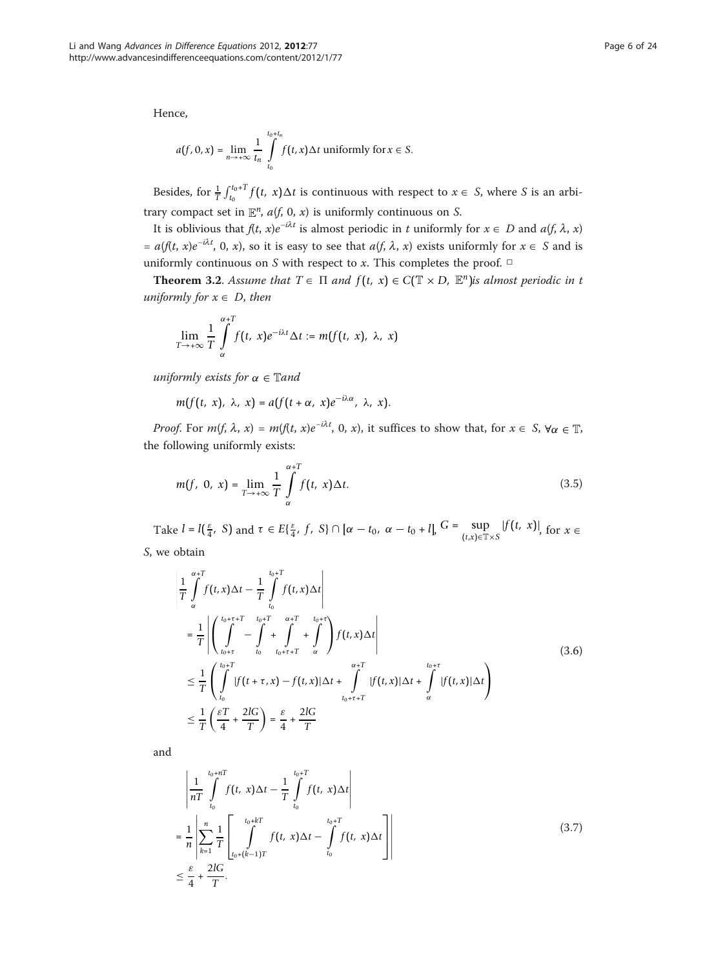Hence,

$$
a(f,0,x) = \lim_{n \to +\infty} \frac{1}{t_n} \int_{t_0}^{t_0+t_n} f(t,x) \Delta t \text{ uniformly for } x \in S.
$$

Besides, for  $\frac{1}{T} \int_{t_0}^{t_0+T} f(t, x) \Delta t$  is continuous with respect to  $x \in S$ , where S is an arbitrary compact set in  $\mathbb{E}^n$ ,  $a(f, 0, x)$  is uniformly continuous on S.

It is oblivious that  $f(t, x)e^{-i\lambda t}$  is almost periodic in t uniformly for  $x \in D$  and  $a(f, \lambda, x)$  $= a(f(t, x)e^{-i\lambda t}, 0, x)$ , so it is easy to see that  $a(f, \lambda, x)$  exists uniformly for  $x \in S$  and is uniformly continuous on S with respect to x. This completes the proof.  $\Box$ 

**Theorem 3.2.** Assume that  $T \in \Pi$  and  $f(t, x) \in C(\mathbb{T} \times D, \mathbb{E}^n)$ is almost periodic in t uniformly for  $x \in D$ , then

$$
\lim_{T\to+\infty}\frac{1}{T}\int\limits_{\alpha}^{\alpha+T}f(t,\ x)e^{-i\lambda t}\Delta t:=m(f(t,\ x),\ \lambda,\ x)
$$

uniformly exists for  $\alpha \in \mathbb{T}$ and

$$
m(f(t, x), \lambda, x) = a(f(t + \alpha, x)e^{-i\lambda\alpha}, \lambda, x).
$$

*Proof.* For  $m(f, \lambda, x) = m(f(t, x)e^{-i\lambda t}, 0, x)$ , it suffices to show that, for  $x \in S$ ,  $\forall \alpha \in \mathbb{T}$ , the following uniformly exists:

$$
m(f, 0, x) = \lim_{T \to +\infty} \frac{1}{T} \int_{\alpha}^{\alpha+T} f(t, x) \Delta t.
$$
 (3.5)

Take  $l = l(\frac{\varepsilon}{4}, S)$  and  $\tau \in E\{\frac{\varepsilon}{4}, f, S\} \cap [\alpha - t_0, \alpha - t_0 + l]$ ,  $G = \sup_{(t,x) \in \mathbb{T} \times S} |f(t, x)|$ , for  $x \in$ S, we obtain

$$
\begin{split}\n&\left|\frac{1}{T}\int_{\alpha}^{\alpha+T} f(t,x)\Delta t - \frac{1}{T}\int_{t_0}^{t_0+T} f(t,x)\Delta t\right| \\
&= \frac{1}{T}\left|\left(\int_{t_0+\tau}^{t_0+\tau} - \int_{t_0}^{t_0+T} + \int_{\alpha}^{t_0+\tau}\right) f(t,x)\Delta t\right| \\
&\leq \frac{1}{T}\left(\int_{t_0}^{t_0+T} |f(t+\tau,x)-f(t,x)|\Delta t + \int_{t_0+\tau+T}^{\alpha+T} |f(t,x)|\Delta t + \int_{\alpha}^{t_0+\tau} |f(t,x)|\Delta t\right) \\
&\leq \frac{1}{T}\left(\frac{\varepsilon T}{4} + \frac{2lG}{T}\right) = \frac{\varepsilon}{4} + \frac{2lG}{T}\n\end{split} \tag{3.6}
$$

and

$$
\left| \frac{1}{nT} \int_{t_0}^{t_0 + nT} f(t, x) \Delta t - \frac{1}{T} \int_{t_0}^{t_0 + T} f(t, x) \Delta t \right|
$$
\n
$$
= \frac{1}{n} \left| \sum_{k=1}^n \frac{1}{T} \left[ \int_{t_0 + (k-1)T}^{t_0 + kT} f(t, x) \Delta t - \int_{t_0}^{t_0 + T} f(t, x) \Delta t \right] \right|
$$
\n
$$
\leq \frac{\varepsilon}{4} + \frac{2lG}{T}.
$$
\n(3.7)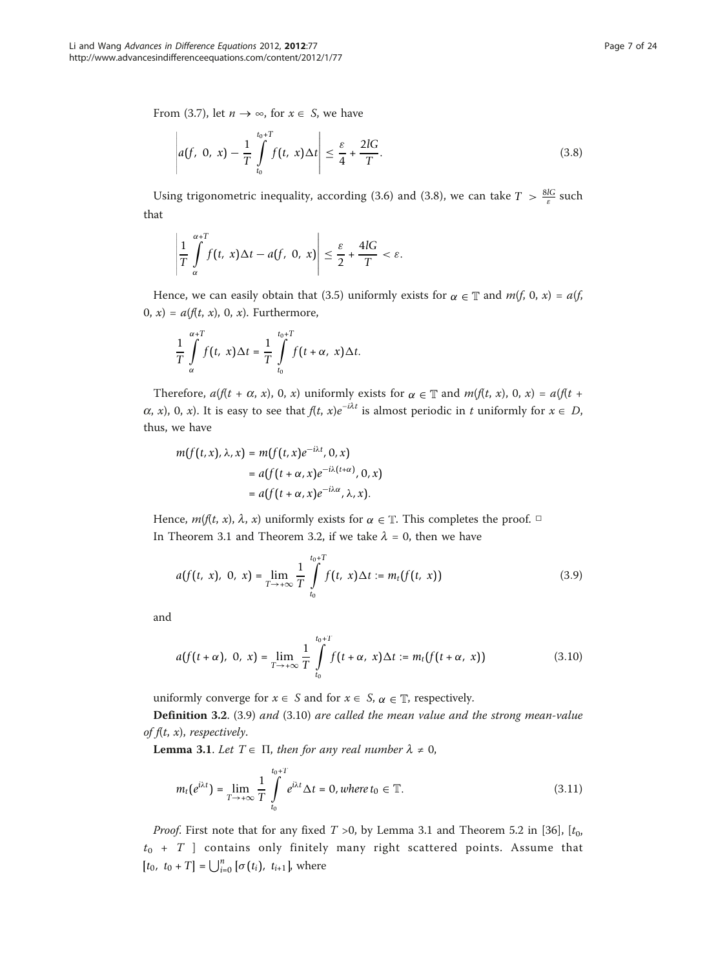From (3.7), let  $n \to \infty$ , for  $x \in S$ , we have

$$
\left| a(f, 0, x) - \frac{1}{T} \int_{t_0}^{t_0+T} f(t, x) \Delta t \right| \le \frac{\varepsilon}{4} + \frac{2lG}{T}.
$$
 (3.8)

Using trigonometric inequality, according (3.6) and (3.8), we can take  $T > \frac{8lG}{\varepsilon}$  such that

$$
\left|\frac{1}{T}\int\limits_{\alpha}^{\alpha+T}f(t, x)\Delta t-a(f, 0, x)\right|\leq \frac{\varepsilon}{2}+\frac{4lG}{T}<\varepsilon.
$$

Hence, we can easily obtain that (3.5) uniformly exists for  $\alpha \in \mathbb{T}$  and  $m(f, 0, x) = a(f, x)$  $0, x$  =  $a(f(t, x), 0, x)$ . Furthermore,

$$
\frac{1}{T}\int_{\alpha}^{\alpha+T}f(t, x)\Delta t = \frac{1}{T}\int_{t_0}^{t_0+T}f(t+\alpha, x)\Delta t.
$$

Therefore,  $a(f(t + \alpha, x), 0, x)$  uniformly exists for  $\alpha \in \mathbb{T}$  and  $m(f(t, x), 0, x) = a(f(t +$  $\alpha$ , x), 0, x). It is easy to see that  $f(t, x)e^{-i\lambda t}$  is almost periodic in t uniformly for  $x \in D$ , thus, we have

$$
m(f(t, x), \lambda, x) = m(f(t, x)e^{-i\lambda t}, 0, x)
$$
  
=  $a(f(t + \alpha, x)e^{-i\lambda(t + \alpha)}, 0, x)$   
=  $a(f(t + \alpha, x)e^{-i\lambda \alpha}, \lambda, x).$ 

Hence,  $m(f(t, x), \lambda, x)$  uniformly exists for  $\alpha \in \mathbb{T}$ . This completes the proof.  $\Box$ In Theorem 3.1 and Theorem 3.2, if we take  $\lambda = 0$ , then we have

$$
a(f(t, x), 0, x) = \lim_{T \to +\infty} \frac{1}{T} \int_{t_0}^{t_0+T} f(t, x) \Delta t := m_t(f(t, x))
$$
\n(3.9)

and

$$
a(f(t+\alpha), 0, x) = \lim_{T \to +\infty} \frac{1}{T} \int_{t_0}^{t_0+T} f(t+\alpha, x) \Delta t := m_t(f(t+\alpha, x))
$$
 (3.10)

uniformly converge for  $x \in S$  and for  $x \in S$ ,  $\alpha \in \mathbb{T}$ , respectively.

Definition 3.2. (3.9) and (3.10) are called the mean value and the strong mean-value of  $f(t, x)$ , respectively.

**Lemma 3.1.** Let  $T \in \Pi$ , then for any real number  $\lambda \neq 0$ ,

$$
m_t(e^{i\lambda t}) = \lim_{T \to +\infty} \frac{1}{T} \int_{t_0}^{t_0 + T} e^{i\lambda t} \Delta t = 0, \text{ where } t_0 \in \mathbb{T}.
$$
 (3.11)

*Proof.* First note that for any fixed  $T > 0$ , by Lemma 3.1 and Theorem 5.2 in [[36\]](#page-23-0), [ $t_0$ ,  $t_0$  + T ] contains only finitely many right scattered points. Assume that  $[t_0, t_0 + T] = \bigcup_{i=0}^{n} [\sigma(t_i), t_{i+1}],$  where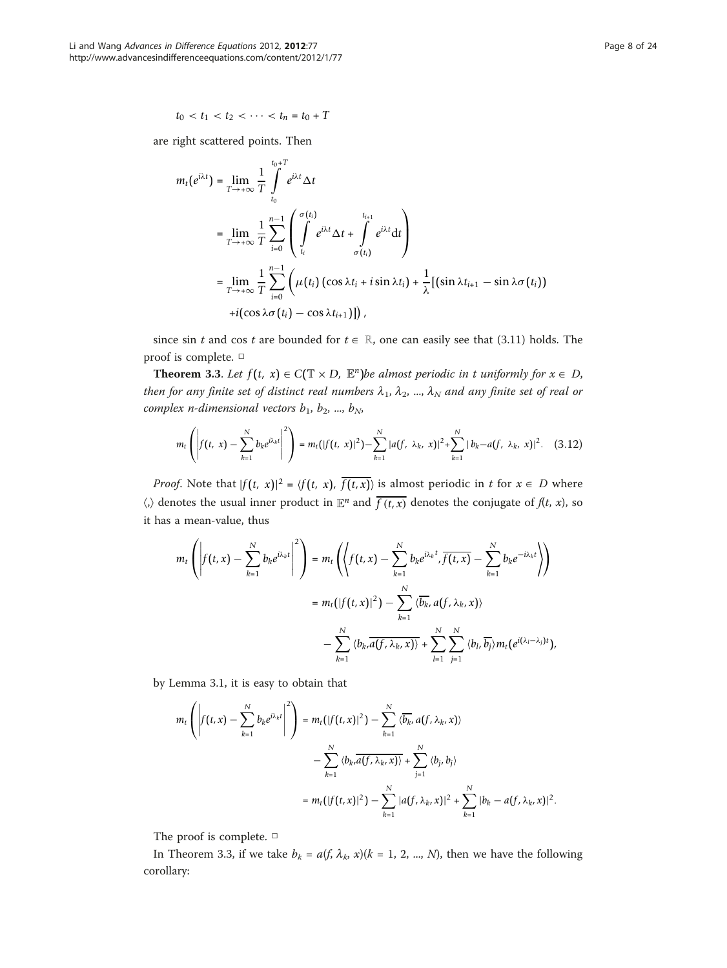$$
t_0 < t_1 < t_2 < \cdots < t_n = t_0 + T
$$

are right scattered points. Then

$$
m_t(e^{i\lambda t}) = \lim_{T \to +\infty} \frac{1}{T} \int_{t_0}^{t_0+T} e^{i\lambda t} \Delta t
$$
  
\n
$$
= \lim_{T \to +\infty} \frac{1}{T} \sum_{i=0}^{n-1} \left( \int_{t_i}^{\sigma(t_i)} e^{i\lambda t} \Delta t + \int_{\sigma(t_i)}^{t_{i+1}} e^{i\lambda t} dt \right)
$$
  
\n
$$
= \lim_{T \to +\infty} \frac{1}{T} \sum_{i=0}^{n-1} \left( \mu(t_i) \left( \cos \lambda t_i + i \sin \lambda t_i \right) + \frac{1}{\lambda} \left[ \left( \sin \lambda t_{i+1} - \sin \lambda \sigma(t_i) \right) + i \left( \cos \lambda \sigma(t_i) - \cos \lambda t_{i+1} \right) \right] \right),
$$

since sin t and cos t are bounded for  $t \in \mathbb{R}$ , one can easily see that (3.11) holds. The proof is complete. □

**Theorem 3.3.** Let  $f(t, x) \in C(\mathbb{T} \times D, \mathbb{E}^n)$  be almost periodic in t uniformly for  $x \in D$ , then for any finite set of distinct real numbers  $\lambda_1$ ,  $\lambda_2$ , ...,  $\lambda_N$  and any finite set of real or complex n-dimensional vectors  $b_1$ ,  $b_2$ , ...,  $b_N$ ,

$$
m_t\left(\left|f(t, x) - \sum_{k=1}^N b_k e^{i\lambda_k t}\right|^2\right) = m_t([f(t, x)]^2) - \sum_{k=1}^N |a(f, \lambda_k, x)|^2 + \sum_{k=1}^N |b_k - a(f, \lambda_k, x)|^2. \quad (3.12)
$$

*Proof.* Note that  $|f(t, x)|^2 = \langle f(t, x), \overline{f(t, x)} \rangle$  is almost periodic in t for  $x \in D$  where  $\langle$ , denotes the usual inner product in  $\mathbb{E}^n$  and  $\overline{f(t,x)}$  denotes the conjugate of  $f(t, x)$ , so it has a mean-value, thus

$$
m_t\left(\left|f(t,x)-\sum_{k=1}^N b_k e^{i\lambda_k t}\right|^2\right)=m_t\left(\left\langle f(t,x)-\sum_{k=1}^N b_k e^{i\lambda_k t},\overline{f(t,x)}-\sum_{k=1}^N b_k e^{-i\lambda_k t}\right\rangle\right)
$$

$$
=m_t(\left|f(t,x)\right|^2)-\sum_{k=1}^N \langle \overline{b_k}, a(f,\lambda_k,x)\rangle
$$

$$
-\sum_{k=1}^N \langle b_k, \overline{a(f,\lambda_k,x)}\rangle+\sum_{l=1}^N \sum_{j=1}^N \langle b_l, \overline{b_j}\rangle m_t(e^{i(\lambda_l-\lambda_j)t}),
$$

by Lemma 3.1, it is easy to obtain that

$$
m_t \left( \left| f(t, x) - \sum_{k=1}^N b_k e^{i\lambda_k t} \right|^2 \right) = m_t \left( |f(t, x)|^2 \right) - \sum_{k=1}^N \langle \overline{b_k}, a(f, \lambda_k, x) \rangle
$$
  
- 
$$
\sum_{k=1}^N \langle b_k, \overline{a(f, \lambda_k, x)} \rangle + \sum_{j=1}^N \langle b_j, b_j \rangle
$$
  
= 
$$
m_t \left( |f(t, x)|^2 \right) - \sum_{k=1}^N |a(f, \lambda_k, x)|^2 + \sum_{k=1}^N |b_k - a(f, \lambda_k, x)|^2.
$$

The proof is complete. □

In Theorem 3.3, if we take  $b_k = a(f, \lambda_k, x)(k = 1, 2, ..., N)$ , then we have the following corollary: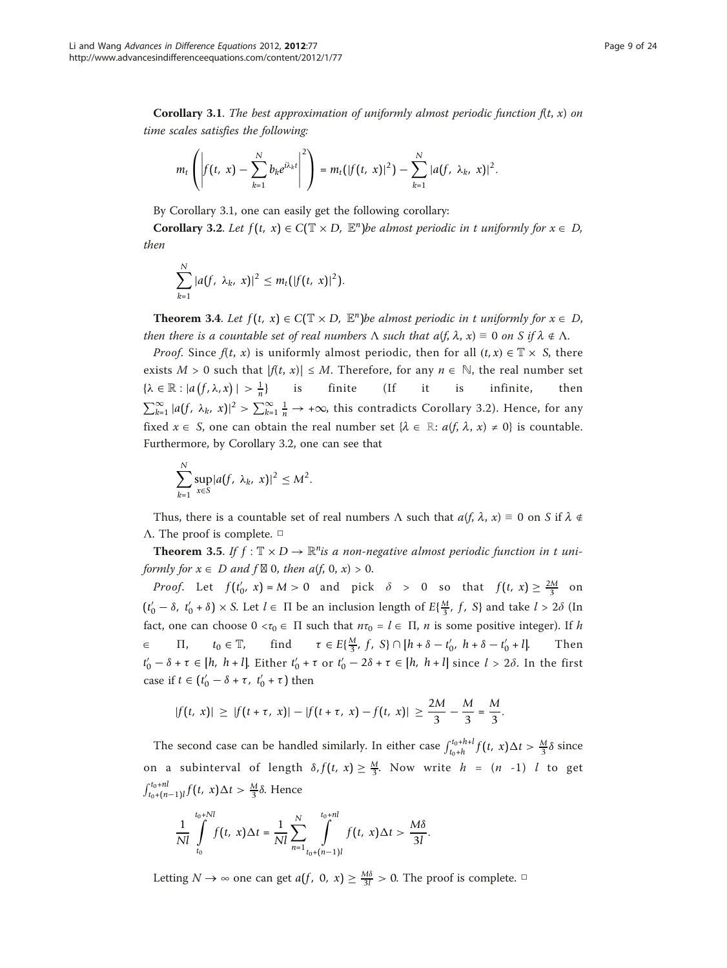**Corollary 3.1.** The best approximation of uniformly almost periodic function  $f(t, x)$  on time scales satisfies the following:

$$
m_t\left(\left|f(t, x) - \sum_{k=1}^N b_k e^{i\lambda_k t}\right|^2\right) = m_t(|f(t, x)|^2) - \sum_{k=1}^N |a(f, \lambda_k, x)|^2.
$$

By Corollary 3.1, one can easily get the following corollary:

**Corollary 3.2.** Let  $f(t, x) \in C(\mathbb{T} \times D, \mathbb{E}^n)$  be almost periodic in t uniformly for  $x \in D$ , then

$$
\sum_{k=1}^N |a(f, \lambda_k, x)|^2 \leq m_t(|f(t, x)|^2).
$$

**Theorem 3.4.** Let  $f(t, x) \in C(\mathbb{T} \times D, \mathbb{E}^n)$  be almost periodic in t uniformly for  $x \in D$ , then there is a countable set of real numbers  $\Lambda$  such that  $a(f, \lambda, x) \equiv 0$  on S if  $\lambda \notin \Lambda$ .

*Proof.* Since  $f(t, x)$  is uniformly almost periodic, then for all  $(t, x) \in \mathbb{T} \times S$ , there exists  $M > 0$  such that  $|f(t, x)| \leq M$ . Therefore, for any  $n \in \mathbb{N}$ , the real number set  $\{\lambda \in \mathbb{R} : |a(f, \lambda, x)| > \frac{1}{n}\}$  $\frac{1}{n}$ } is finite (If it is infinite, then  $\sum_{k=1}^{\infty} |a(f, \lambda_k, x)|^2 > \sum_{k=1}^{\infty} \frac{1}{n} \to +\infty$ , this contradicts Corollary 3.2). Hence, for any fixed  $x \in S$ , one can obtain the real number set  $\{\lambda \in \mathbb{R}: a(f, \lambda, x) \neq 0\}$  is countable. Furthermore, by Corollary 3.2, one can see that

$$
\sum_{k=1}^N \sup_{x \in S} |a(f, \lambda_k, x)|^2 \leq M^2.
$$

Thus, there is a countable set of real numbers  $\Lambda$  such that  $a(f, \lambda, x) \equiv 0$  on S if  $\lambda \notin$ Λ. The proof is complete. □

**Theorem 3.5.** If  $f : \mathbb{T} \times D \to \mathbb{R}^n$  is a non-negative almost periodic function in t uniformly for  $x \in D$  and  $f \boxtimes 0$ , then  $a(f, 0, x) > 0$ .

*Proof.* Let  $f(t'_0, x) = M > 0$  and pick  $\delta > 0$  so that  $f(t, x) \ge \frac{2M}{3}$  on  $(t'_0 - \delta, t'_0 + \delta) \times S$ . Let  $l \in \Pi$  be an inclusion length of  $E\{\frac{M}{3}, f, S\}$  and take  $l > 2\delta$  (In fact, one can choose  $0 < \tau_0 \in \Pi$  such that  $n\tau_0 = l \in \Pi$ , *n* is some positive integer). If *h*  $\epsilon$   $\Pi$ ,  $t_0 \in \mathbb{T}$ , find  $\tau \in E\{\frac{M}{3}, f, S\} \cap [h + \delta - t'_0, h + \delta - t'_0 + l]$ . Then  $t'_0 - \delta + \tau \in [h, h + l]$ . Either  $t'_0 + \tau$  or  $t'_0 - 2\delta + \tau \in [h, h + l]$  since  $l > 2\delta$ . In the first case if  $t \in (t'_0 - \delta + \tau, t'_0 + \tau)$  then

$$
|f(t, x)| \geq |f(t + \tau, x)| - |f(t + \tau, x) - f(t, x)| \geq \frac{2M}{3} - \frac{M}{3} = \frac{M}{3}.
$$

The second case can be handled similarly. In either case  $\int_{t_0+h}^{t_0+h+l} f(t, x) \Delta t > \frac{M}{3} \delta$  since on a subinterval of length  $\delta$ ,  $f(t, x) \geq \frac{M}{3}$ . Now write  $h = (n - 1)$  l to get  $\int_{t_0+{(n-1)}^l}^{t_0+nl} f(t, x)∆t > \frac{M}{3}δ$ . Hence

$$
\frac{1}{Nl}\int_{t_0}^{t_0+Nl}f(t, x)\Delta t = \frac{1}{Nl}\sum_{n=1}^N\int_{t_0+(n-1)l}^{t_0+nl}f(t, x)\Delta t > \frac{M\delta}{3l}.
$$

Letting  $N \to \infty$  one can get  $a(f, 0, x) \ge \frac{M\delta}{3l} > 0$ . The proof is complete.  $\Box$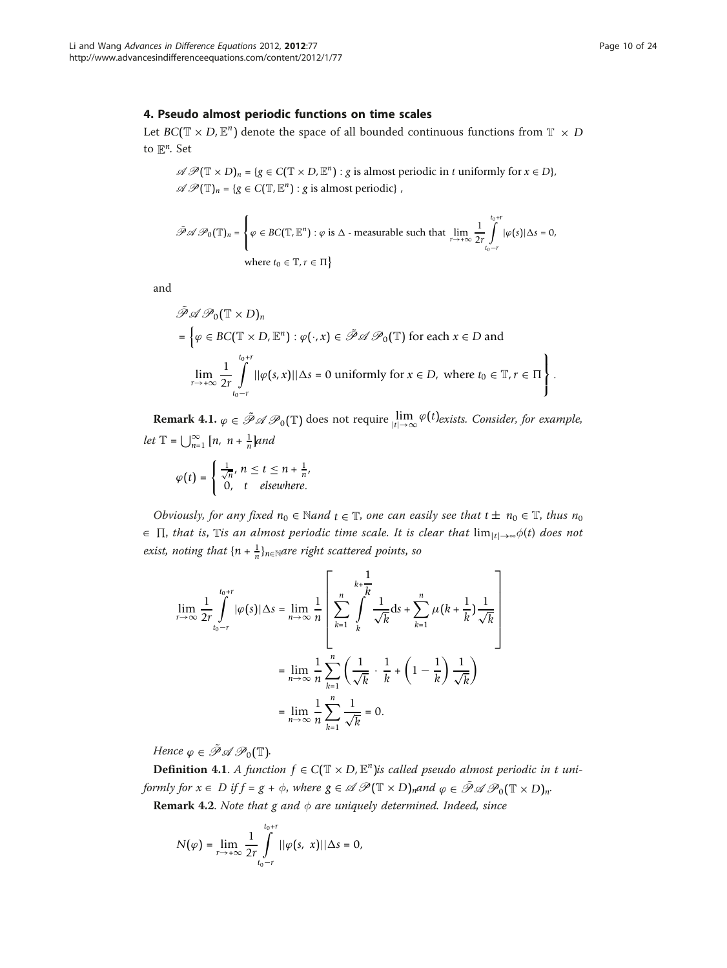### 4. Pseudo almost periodic functions on time scales

Let *BC*( $\mathbb{T} \times D$ ,  $\mathbb{E}^n$ ) denote the space of all bounded continuous functions from  $\mathbb{T} \times D$ to E*n*. Set

 $\mathscr{A}\mathscr{P}(\mathbb{T} \times D)_n = \{g \in C(\mathbb{T} \times D, \mathbb{E}^n) : g \text{ is almost periodic in } t \text{ uniformly for } x \in D\},\$  $\mathscr{A}\mathscr{P}(\mathbb{T})_n = \{g \in C(\mathbb{T}, \mathbb{E}^n) : g \text{ is almost periodic}\}\;$ 

$$
\tilde{\mathcal{P}}\mathcal{A}\mathcal{P}_0(\mathbb{T})_n = \left\{ \varphi \in BC(\mathbb{T}, \mathbb{E}^n) : \varphi \text{ is } \Delta \text{ - measurable such that } \lim_{r \to +\infty} \frac{1}{2r} \int_{t_0-r}^{t_0+r} |\varphi(s)| \Delta s = 0, \right\}
$$
  
where  $t_0 \in \mathbb{T}, r \in \Pi \right\}$ 

and

$$
\tilde{\mathcal{P}}\mathcal{A}\mathcal{P}_0(\mathbb{T}\times D)_n
$$
\n
$$
= \left\{ \varphi \in BC(\mathbb{T}\times D, \mathbb{E}^n) : \varphi(\cdot, x) \in \tilde{\mathcal{P}}\mathcal{A}\mathcal{P}_0(\mathbb{T}) \text{ for each } x \in D \text{ and}
$$
\n
$$
\lim_{r \to +\infty} \frac{1}{2r} \int_{t_0-r}^{t_0+r} ||\varphi(s, x)|| \Delta s = 0 \text{ uniformly for } x \in D, \text{ where } t_0 \in \mathbb{T}, r \in \Pi \right\}.
$$

**Remark 4.1.**  $\varphi \in \tilde{\mathcal{P}} \mathcal{A} \mathcal{P}_0(\mathbb{T})$  does not require  $\lim_{|t| \to \infty} \varphi(t)$ *exists. Consider, for example,* let  $\mathbb{T} = \bigcup_{n=1}^{\infty} [n, n + \frac{1}{n}]$ and

$$
\varphi(t) = \begin{cases} \frac{1}{\sqrt{n}}, & n \leq t \leq n + \frac{1}{n}, \\ 0, & t \text{ elsewhere.} \end{cases}
$$

Obviously, for any fixed  $n_0 \in \mathbb{N}$  and  $t \in \mathbb{T}$ , one can easily see that  $t \pm n_0 \in \mathbb{T}$ , thus  $n_0$  $\in \Pi$ , that is,  $\mathbb T$ is an almost periodic time scale. It is clear that  $\lim_{|t|\to\infty}\phi(t)$  does not exist, noting that  $\{n + \frac{1}{n}\}_n \in \mathbb{N}$ are right scattered points, so

$$
\lim_{r \to \infty} \frac{1}{2r} \int_{t_0 - r}^{t_0 + r} |\varphi(s)| \Delta s = \lim_{n \to \infty} \frac{1}{n} \left[ \sum_{k=1}^n \int_{k}^{k + \frac{1}{k}} \frac{1}{\sqrt{k}} ds + \sum_{k=1}^n \mu(k + \frac{1}{k}) \frac{1}{\sqrt{k}} \right]
$$

$$
= \lim_{n \to \infty} \frac{1}{n} \sum_{k=1}^n \left( \frac{1}{\sqrt{k}} \cdot \frac{1}{k} + \left( 1 - \frac{1}{k} \right) \frac{1}{\sqrt{k}} \right)
$$

$$
= \lim_{n \to \infty} \frac{1}{n} \sum_{k=1}^n \frac{1}{\sqrt{k}} = 0.
$$

Hence  $\varphi \in \tilde{\mathcal{P}} \mathcal{A} \mathcal{P}_0(\mathbb{T})$ .

**Definition 4.1**. A function  $f$  ∈  $C(T \times D, E^n)$  is called pseudo almost periodic in t uniformly for  $x \in D$  if  $f = g + \phi$ , where  $g \in \mathscr{A}P(\mathbb{T} \times D)$ <sub>n</sub>and  $\varphi \in \tilde{P} \mathscr{A}P_0(\mathbb{T} \times D)$ <sub>n</sub>. **Remark 4.2.** Note that g and  $\phi$  are uniquely determined. Indeed, since

$$
N(\varphi) = \lim_{r \to +\infty} \frac{1}{2r} \int_{t_0-r}^{t_0+r} ||\varphi(s, x)|| \Delta s = 0,
$$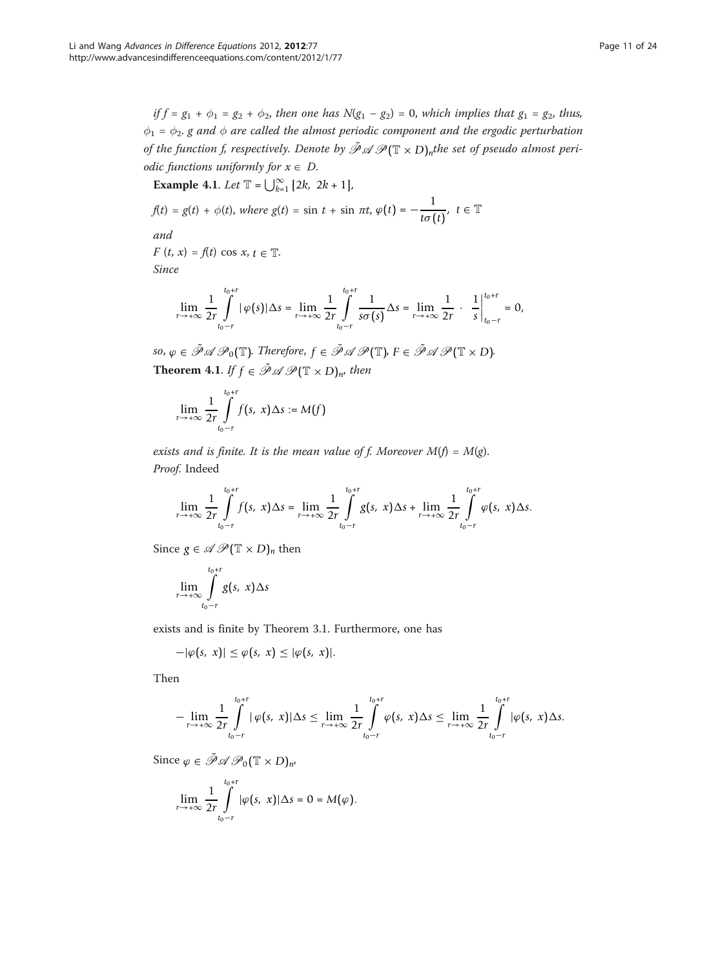if  $f = g_1 + \phi_1 = g_2 + \phi_2$ , then one has  $N(g_1 - g_2) = 0$ , which implies that  $g_1 = g_2$ , thus,  $\phi_1$  =  $\phi_2$ .  $g$  and  $\phi$  are called the almost periodic component and the ergodic perturbation of the function f, respectively. Denote by  $\tilde{\mathcal{P}} \mathcal{A} \mathcal{P} (\mathbb{T} \times D)$ <sub>n</sub>the set of pseudo almost periodic functions uniformly for  $x \in D$ .

**Example 4.1.** Let  $\mathbb{T} = \bigcup_{k=1}^{\infty} [2k, 2k + 1]$ ,

$$
f(t) = g(t) + \phi(t), \text{ where } g(t) = \sin t + \sin \pi t, \, \varphi(t) = -\frac{1}{t\sigma(t)}, \, t \in \mathbb{T}
$$

and

 $F(t, x) = f(t) \cos x, t \in \mathbb{T}.$ Since

$$
\lim_{r \to +\infty} \frac{1}{2r} \int_{t_0-r}^{t_0+r} |\varphi(s)| \Delta s = \lim_{r \to +\infty} \frac{1}{2r} \int_{t_0-r}^{t_0+r} \frac{1}{s\sigma(s)} \Delta s = \lim_{r \to +\infty} \frac{1}{2r} \cdot \frac{1}{s} \Big|_{t_0-r}^{t_0+r} = 0,
$$

so,  $\varphi \in \tilde{\mathcal{P}} \mathcal{A} \mathcal{P}_0(\mathbb{T})$ . Therefore,  $f \in \tilde{\mathcal{P}} \mathcal{A} \mathcal{P}(\mathbb{T})$ ,  $F \in \tilde{\mathcal{P}} \mathcal{A} \mathcal{P}(\mathbb{T} \times D)$ . **Theorem 4.1.** If  $f \in \tilde{\mathcal{P}} \mathcal{A} \mathcal{P} (\mathbb{T} \times D)_n$ , then

$$
\lim_{r\to+\infty}\frac{1}{2r}\int_{t_0-r}^{t_0+r}f(s,\ x)\Delta s:=M(f)
$$

exists and is finite. It is the mean value of f. Moreover  $M(f) = M(g)$ . Proof. Indeed

$$
\lim_{r\to+\infty}\frac{1}{2r}\int_{t_0-r}^{t_0+r}f(s,\ x)\Delta s=\lim_{r\to+\infty}\frac{1}{2r}\int_{t_0-r}^{t_0+r}g(s,\ x)\Delta s+\lim_{r\to+\infty}\frac{1}{2r}\int_{t_0-r}^{t_0+r}\varphi(s,\ x)\Delta s.
$$

Since  $g \in \mathcal{AP}(\mathbb{T} \times D)_n$  then

$$
\lim_{r\to+\infty}\int\limits_{t_0-r}^{t_0+r}g(s,\;x)\Delta s
$$

exists and is finite by Theorem 3.1. Furthermore, one has

$$
-|\varphi(s, x)| \leq \varphi(s, x) \leq |\varphi(s, x)|.
$$

Then

$$
-\lim_{r\to+\infty}\frac{1}{2r}\int_{t_0-r}^{t_0+r}|\varphi(s, x)|\Delta s\leq \lim_{r\to+\infty}\frac{1}{2r}\int_{t_0-r}^{t_0+r}\varphi(s, x)\Delta s\leq \lim_{r\to+\infty}\frac{1}{2r}\int_{t_0-r}^{t_0+r}|\varphi(s, x)\Delta s.
$$

Since  $\varphi \in \tilde{\mathcal{P}} \mathcal{A} \mathcal{P}_0(\mathbb{T} \times D)_{n}$ 

$$
\lim_{r\to+\infty}\frac{1}{2r}\int\limits_{t_0-r}^{t_0+r}|\varphi(s, x)|\Delta s=0=M(\varphi).
$$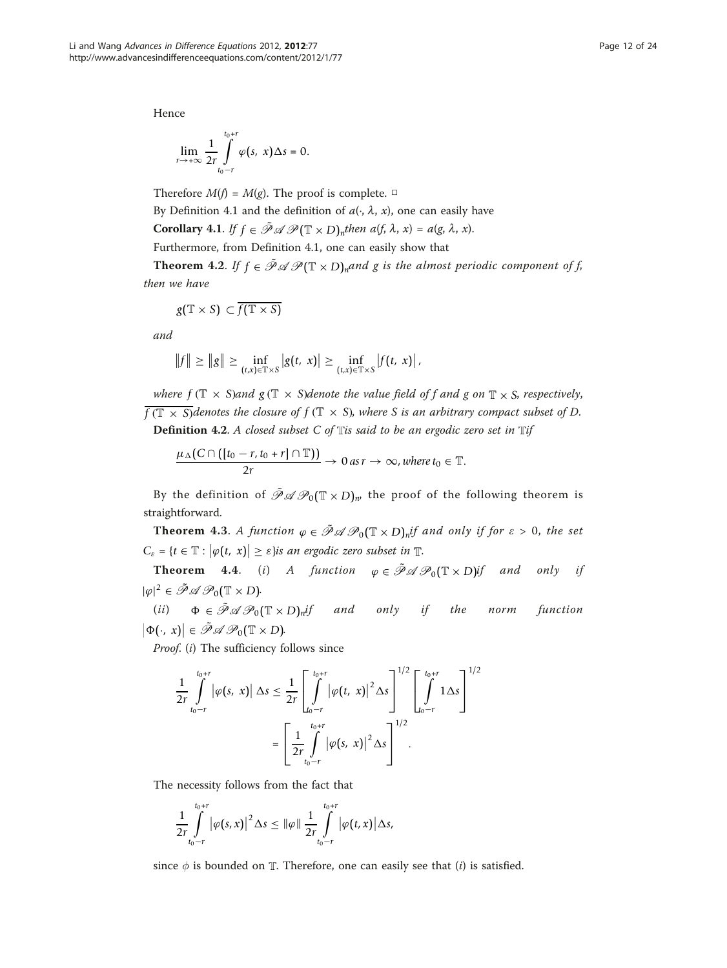Hence

$$
\lim_{r\to+\infty}\frac{1}{2r}\int\limits_{t_0-r}^{t_0+r}\varphi(s, x)\Delta s=0.
$$

Therefore  $M(f) = M(g)$ . The proof is complete.  $\Box$ 

By Definition 4.1 and the definition of  $a(\cdot, \lambda, x)$ , one can easily have

Corollary 4.1. If  $f \in \tilde{\mathcal{P}} \mathcal{A} \mathcal{P}(\mathbb{T} \times D)$ <sub>n</sub>then  $a(f, \lambda, x) = a(g, \lambda, x)$ .

Furthermore, from Definition 4.1, one can easily show that

**Theorem 4.2.** If  $f \in \tilde{\mathcal{P}} \mathcal{A} \mathcal{P}(\mathbb{T} \times D)$ <sub>n</sub>and g is the almost periodic component of f, then we have

$$
g(\mathbb{T} \times S) \subset \overline{f(\mathbb{T} \times S)}
$$

and

$$
||f|| \geq ||g|| \geq \inf_{(t,x)\in \mathbb{T}\times S} |g(t, x)| \geq \inf_{(t,x)\in \mathbb{T}\times S} |f(t, x)|,
$$

where  $f(\mathbb{T} \times S)$  and  $g(\mathbb{T} \times S)$  denote the value field of f and g on  $\mathbb{T} \times S$ , respectively,  $\overline{f(\mathbb{T} \times S)}$  denotes the closure of  $f(\mathbb{T} \times S)$ , where *S* is an arbitrary compact subset of *D*. **Definition 4.2.** A closed subset C of  $\mathbb{T}$ is said to be an ergodic zero set in  $\mathbb{T}$ if

$$
\frac{\mu_{\Delta}(C \cap ([t_0 - r, t_0 + r] \cap \mathbb{T}))}{2r} \to 0 \text{ as } r \to \infty, \text{ where } t_0 \in \mathbb{T}.
$$

By the definition of  $\tilde{\mathcal{P}} \mathcal{A} \mathcal{P}_0(\mathbb{T} \times D)_{n}$ , the proof of the following theorem is straightforward.

**Theorem 4.3.** A function  $\varphi \in \tilde{\mathcal{P}} \mathcal{A} \mathcal{P}_0(\mathbb{T} \times D)_{n}$  *if and only if for*  $\varepsilon > 0$ *, the set*  $C_{\varepsilon} = \{ t \in \mathbb{T} : |\varphi(t, x)| \geq \varepsilon \}$ is an ergodic zero subset in  $\mathbb{T}$ .

**Theorem 4.4.** (i) A function  $\varphi \in \tilde{\mathcal{P}} \mathcal{A} \mathcal{P}_0(\mathbb{T} \times D)$ if and only if  $|\varphi|^2 \in \tilde{\mathscr{P}} \mathscr{A} \mathscr{P}_0(\mathbb{T} \times D).$ 

(ii)  $\Phi \in \tilde{\mathcal{P}} \mathcal{A} \mathcal{P}_0(\mathbb{T} \times D)_{n}$ if and only if the norm function  $|\Phi(\cdot, x)| \in \tilde{\mathscr{P}} \mathscr{A} \mathscr{P}_0(\mathbb{T} \times D).$ 

Proof. (i) The sufficiency follows since

$$
\frac{1}{2r} \int_{t_0-r}^{t_0+r} |\varphi(s, x)| \Delta s \leq \frac{1}{2r} \left[ \int_{t_0-r}^{t_0+r} |\varphi(t, x)|^2 \Delta s \right]^{1/2} \left[ \int_{t_0-r}^{t_0+r} 1 \Delta s \right]^{1/2}
$$

$$
= \left[ \frac{1}{2r} \int_{t_0-r}^{t_0+r} |\varphi(s, x)|^2 \Delta s \right]^{1/2}.
$$

The necessity follows from the fact that

$$
\frac{1}{2r} \int_{t_0-r}^{t_0+r} |\varphi(s,x)|^2 \, \Delta s \leq ||\varphi|| \frac{1}{2r} \int_{t_0-r}^{t_0+r} |\varphi(t,x)| \, \Delta s,
$$

since  $\phi$  is bounded on  $\mathbb{T}$ . Therefore, one can easily see that (i) is satisfied.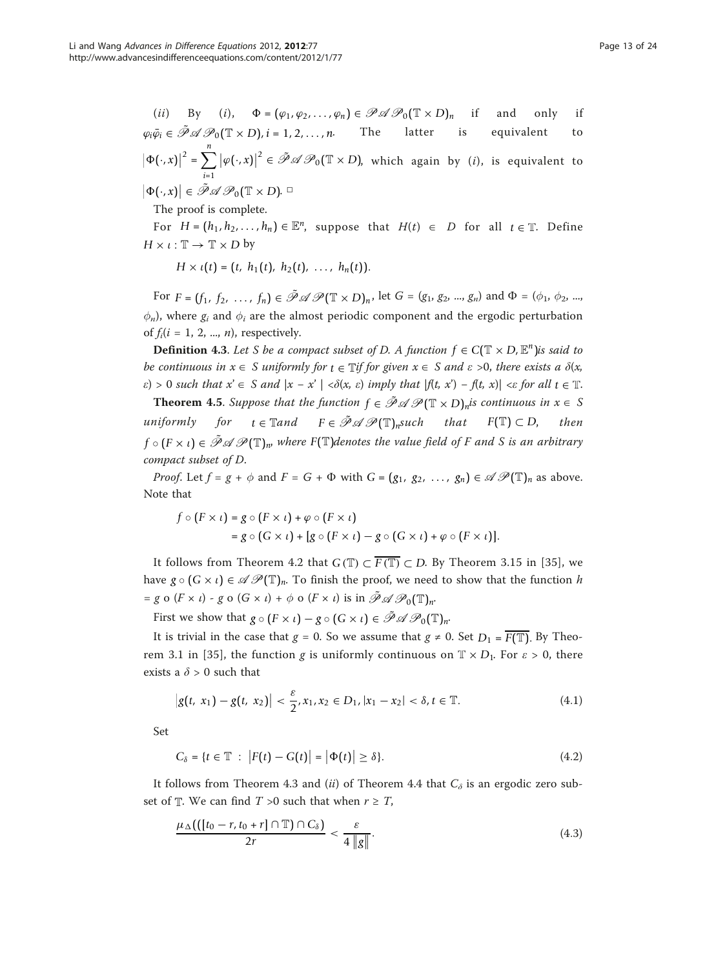(*ii*) By (*i*),  $\Phi = (\varphi_1, \varphi_2, ..., \varphi_n) \in \mathcal{PA} \mathcal{P}_0(\mathbb{T} \times D)_n$  if and only if  $\varphi_i\bar{\varphi}_i \in \tilde{\mathcal{P}}\mathcal{A}\mathcal{P}_0(\mathbb{T}\times D), i=1,2,\ldots,n$ . The latter is equivalent to  $\left|\Phi(\cdot,x)\right|^2 = \sum_{n=1}^{\infty}$ *i*=1  $|\varphi(\cdot,x)|^2 \in \tilde{\mathcal{P}} \mathcal{A} \mathcal{P}_0(\mathbb{T} \times D)$ , which again by (*i*), is equivalent to

 $|\Phi(\cdot, x)| \in \tilde{\mathcal{P}} \mathcal{A} \mathcal{P}_0(\mathbb{T} \times D).$ 

The proof is complete.

For  $H = (h_1, h_2, \ldots, h_n) \in \mathbb{E}^n$ , suppose that  $H(t) \in D$  for all  $t \in \mathbb{T}$ . Define  $H \times \iota : \mathbb{T} \to \mathbb{T} \times D$  by

 $H \times \iota(t) = (t, h_1(t), h_2(t), \ldots, h_n(t)).$ 

For  $F = (f_1, f_2, ..., f_n) \in \tilde{\mathcal{P}} \mathcal{A} \mathcal{P} (\mathbb{T} \times D)_n$ , let  $G = (g_1, g_2, ..., g_n)$  and  $\Phi = (\phi_1, \phi_2, ..., \phi_n)$  $\phi_n$ ), where  $g_i$  and  $\phi_i$  are the almost periodic component and the ergodic perturbation of  $f_i(i = 1, 2, ..., n)$ , respectively.

**Definition 4.3.** Let S be a compact subset of D. A function  $f \in C(\mathbb{T} \times D, \mathbb{E}^n)$ is said to be continuous in  $x \in S$  uniformly for  $t \in \mathbb{T}$ if for given  $x \in S$  and  $\varepsilon > 0$ , there exists a  $\delta(x, \cdot)$  $\varepsilon$ ) > 0 such that  $x' \in S$  and  $|x - x'| < \delta(x, \varepsilon)$  imply that  $|f(t, x') - f(t, x)| < \varepsilon$  for all  $t \in \mathbb{T}$ .

**Theorem 4.5.** Suppose that the function  $f \in \tilde{\mathcal{P}} \mathcal{A} \mathcal{P}(\mathbb{T} \times D)$ <sub>n</sub>is continuous in  $x \in S$ uniformly for  $t \in \mathbb{T}$ and  $F \in \tilde{\mathcal{P}} \mathcal{A} \mathcal{P}(\mathbb{T})$ <sub>n</sub>such that  $F(\mathbb{T}) \subset D$ , then  $f \circ (F \times \iota) \in \tilde{\mathcal{P}} \mathcal{A} \mathcal{P}(\mathbb{T})_n$ , where  $F(\mathbb{T})$ denotes the value field of F and S is an arbitrary compact subset of D.

*Proof.* Let  $f = g + \phi$  and  $F = G + \Phi$  with  $G = (g_1, g_2, \ldots, g_n) \in \mathcal{AP}(\mathbb{T})_n$  as above. Note that

$$
f \circ (F \times \iota) = g \circ (F \times \iota) + \varphi \circ (F \times \iota)
$$
  
=  $g \circ (G \times \iota) + [g \circ (F \times \iota) - g \circ (G \times \iota) + \varphi \circ (F \times \iota)].$ 

It follows from Theorem 4.2 that *G* ( $\mathbb{T}$ ) ⊂ *F* ( $\mathbb{T}$ ) ⊂ *D*. By Theorem 3.15 in [[35\]](#page-23-0), we have  $g \circ (G \times \iota) \in \mathcal{AP}(\mathbb{T})_n$ . To finish the proof, we need to show that the function h  $= g \circ (F \times \iota) - g \circ (G \times \iota) + \phi \circ (F \times \iota)$  is in  $\tilde{\mathcal{P}} \mathcal{A} \mathcal{P}_0(\mathbb{T})_n$ .

First we show that  $g \circ (F \times \iota) - g \circ (G \times \iota) \in \tilde{\mathcal{P}} \mathcal{A} \mathcal{P}_0(\mathbb{T})_n$ .

It is trivial in the case that  $g = 0$ . So we assume that  $g \neq 0$ . Set  $D_1 = \overline{F(\mathbb{T})}$ . By Theo-rem 3.1 in [[35\]](#page-23-0), the function g is uniformly continuous on  $\mathbb{T} \times D_1$ . For  $\varepsilon > 0$ , there exists a  $\delta > 0$  such that

$$
\left| g(t, x_1) - g(t, x_2) \right| < \frac{\varepsilon}{2}, x_1, x_2 \in D_1, |x_1 - x_2| < \delta, t \in \mathbb{T}.\tag{4.1}
$$

Set

$$
C_{\delta} = \{t \in \mathbb{T} : |F(t) - G(t)| = |\Phi(t)| \ge \delta\}.
$$
\n(4.2)

It follows from Theorem 4.3 and (ii) of Theorem 4.4 that  $C_{\delta}$  is an ergodic zero subset of  $\mathbb T$ . We can find  $T > 0$  such that when  $r \geq T$ ,

$$
\frac{\mu_{\Delta}(([t_0-r, t_0+r] \cap \mathbb{T}) \cap C_{\delta})}{2r} < \frac{\varepsilon}{4 \, \|g\|}.\tag{4.3}
$$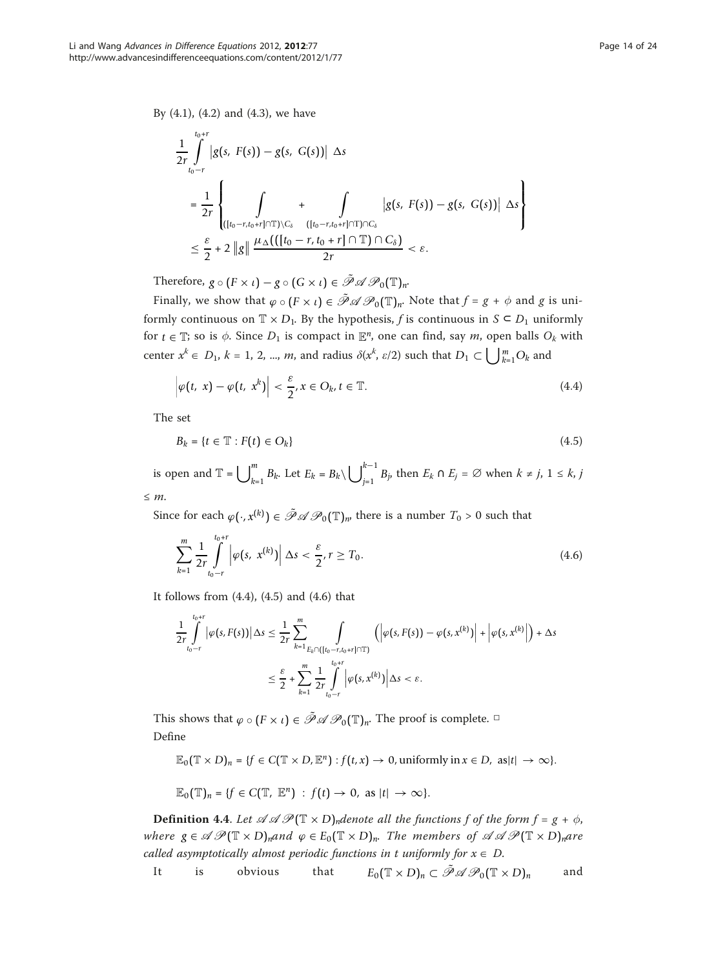By (4.1), (4.2) and (4.3), we have

$$
\frac{1}{2r} \int_{t_0-r}^{t_0+r} |g(s, F(s)) - g(s, G(s))| \Delta s
$$
\n
$$
= \frac{1}{2r} \left\{ \int_{([t_0-r,t_0+r] \cap \mathbb{T}) \backslash C_{\delta}} + \int_{([t_0-r,t_0+r] \cap \mathbb{T}) \cap C_{\delta}} |g(s, F(s)) - g(s, G(s))| \Delta s \right\}
$$
\n
$$
\leq \frac{\varepsilon}{2} + 2 \|g\| \frac{\mu_{\Delta}(([t_0-r,t_0+r] \cap \mathbb{T}) \cap C_{\delta})}{2r} < \varepsilon.
$$

Therefore,  $g \circ (F \times \iota) - g \circ (G \times \iota) \in \tilde{\mathcal{P}} \mathcal{A} \mathcal{P}_0(\mathbb{T})_{n}$ .

Finally, we show that  $\varphi \circ (F \times \iota) \in \tilde{\mathcal{P}} \mathcal{A} \mathcal{P}_0(\mathbb{T})_n$ . Note that  $f = g + \phi$  and g is uniformly continuous on  $\mathbb{T} \times D_1$ . By the hypothesis, f is continuous in  $S \subseteq D_1$  uniformly for  $t \in \mathbb{T}$ ; so is  $\phi$ . Since  $D_1$  is compact in  $\mathbb{E}^n$ , one can find, say m, open balls  $O_k$  with center  $x^k \in D_1$ ,  $k = 1, 2, ..., m$ , and radius  $\delta(x^k, \varepsilon/2)$  such that  $D_1 \subset \bigcup_{k=1}^m O_k$  and

$$
\left|\varphi(t, x) - \varphi(t, x^k)\right| < \frac{\varepsilon}{2}, x \in O_k, t \in \mathbb{T}.\tag{4.4}
$$

The set

$$
B_k = \{t \in \mathbb{T} : F(t) \in O_k\} \tag{4.5}
$$

is open and  $\mathbb{T} = \bigcup_{k=1}^{m} B_k$ . Let  $E_k = B_k \setminus \bigcup_{j=1}^{k-1} B_j$ , then  $E_k \cap E_j = \emptyset$  when  $k \neq j$ ,  $1 \leq k$ , j ≤ m.

Since for each  $\varphi(\cdot,x^{(k)}) \in \tilde{\mathcal{P}} \mathcal{A} \mathcal{P}_0(\mathbb{T})_n$ , there is a number  $T_0 > 0$  such that

$$
\sum_{k=1}^{m} \frac{1}{2r} \int_{t_0-r}^{t_0+r} \left| \varphi(s, x^{(k)}) \right| \Delta s < \frac{\varepsilon}{2}, r \ge T_0.
$$
\n(4.6)

It follows from (4.4), (4.5) and (4.6) that

$$
\frac{1}{2r} \int_{t_0-r}^{t_0+r} |\varphi(s, F(s))| \Delta s \leq \frac{1}{2r} \sum_{k=1}^m \int_{E_k \cap ([t_0-r,t_0+r] \cap \mathbb{T})} (|\varphi(s, F(s)) - \varphi(s, x^{(k)})| + |\varphi(s, x^{(k)})| + \Delta s
$$
  

$$
\leq \frac{\varepsilon}{2} + \sum_{k=1}^m \frac{1}{2r} \int_{t_0-r}^{t_0+r} |\varphi(s, x^{(k)})| \Delta s < \varepsilon.
$$

This shows that  $\varphi \circ (F \times \iota) \in \tilde{\mathcal{P}} \mathcal{A} \mathcal{P}_0(\mathbb{T})_n$ . The proof is complete.  $\Box$ Define

$$
\mathbb{E}_0(\mathbb{T} \times D)_n = \{f \in C(\mathbb{T} \times D, \mathbb{E}^n) : f(t,x) \to 0, \text{uniformly in } x \in D, \text{ as } |t| \to \infty\}.
$$

 $\mathbb{E}_0(\mathbb{T})_n = \{f \in C(\mathbb{T}, \mathbb{E}^n) : f(t) \to 0, \text{ as } |t| \to \infty\}.$ 

**Definition 4.4.** Let  $\mathscr{A}\mathscr{A}\mathscr{P}(\mathbb{T}\times D)$ <sub>n</sub>denote all the functions f of the form  $f = g + \phi$ , where  $g \in \mathcal{AP}(\mathbb{T} \times D)$ <sub>n</sub>and  $\varphi \in E_0(\mathbb{T} \times D)$ <sub>n</sub>. The members of  $\mathcal{AAP}(\mathbb{T} \times D)$ <sub>n</sub>are called asymptotically almost periodic functions in t uniformly for  $x \in D$ .

It is obvious that 
$$
E_0(\mathbb{T} \times D)_n \subset \tilde{\mathcal{P}} \mathcal{A} \mathcal{P}_0(\mathbb{T} \times D)_n
$$
 and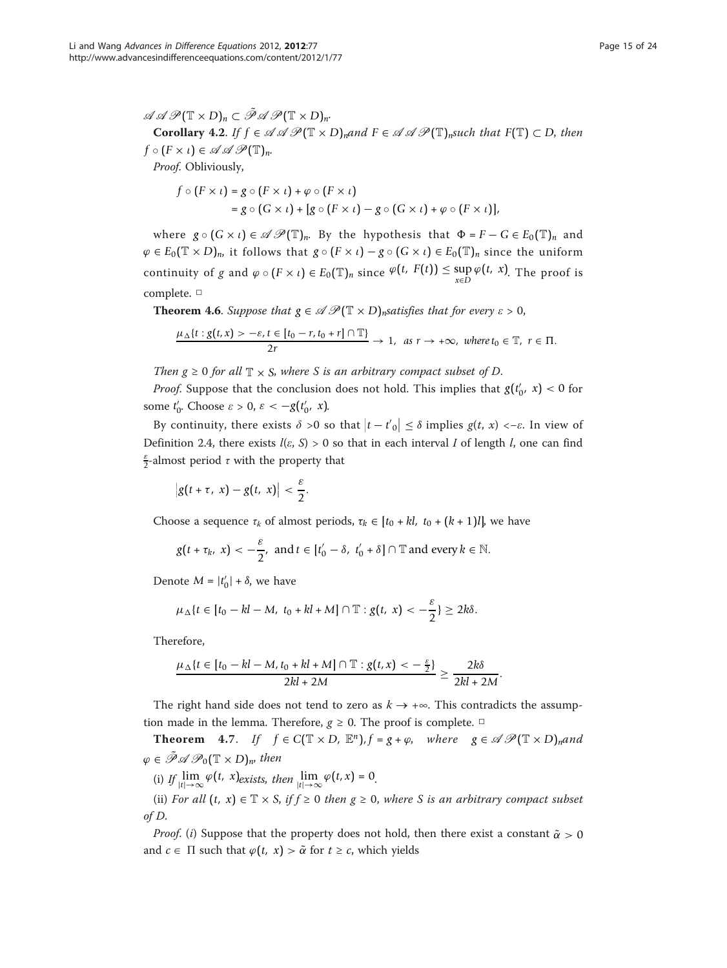$\mathscr{A}A\mathscr{P}(\mathbb{T}\times D)_{n}\subset \tilde{\mathscr{P}}\mathscr{A}\mathscr{P}(\mathbb{T}\times D)_{n}.$ Corollary 4.2. If  $f \in \mathcal{A} \mathcal{A} \mathcal{P}(\mathbb{T} \times D)$ <sub>n</sub>and  $F \in \mathcal{A} \mathcal{A} \mathcal{P}(\mathbb{T})$ <sub>n</sub>such that  $F(\mathbb{T}) \subset D$ , then  $f \circ (F \times \iota) \in \mathscr{A} \mathscr{A} \mathscr{P}(\mathbb{T})_{n}.$ Proof. Obliviously,

$$
f \circ (F \times \iota) = g \circ (F \times \iota) + \varphi \circ (F \times \iota)
$$
  
=  $g \circ (G \times \iota) + [g \circ (F \times \iota) - g \circ (G \times \iota) + \varphi \circ (F \times \iota)],$ 

where  $g \circ (G \times \iota) \in \mathscr{A} \mathscr{P}(\mathbb{T})_n$ . By the hypothesis that  $\Phi = F - G \in E_0(\mathbb{T})_n$  and  $\varphi \in E_0(\mathbb{T} \times D)_n$ , it follows that  $g \circ (F \times \iota) - g \circ (G \times \iota) \in E_0(\mathbb{T})_n$  since the uniform continuity of g and  $\varphi \circ (F \times \iota) \in E_0(\mathbb{T})_n$  since  $\varphi(t, F(t)) \leq \sup_{x \in D}$  $\varphi(t, x)$ . The proof is complete. □

**Theorem 4.6.** Suppose that  $g \in \mathcal{AP}(\mathbb{T} \times D)$ <sub>n</sub>satisfies that for every  $\varepsilon > 0$ ,

$$
\frac{\mu_{\Delta}\lbrace t:g(t,x)\rbrace -\varepsilon,t\in [t_0-r,t_0+r]\cap \mathbb{T}\rbrace}{2r}\to 1, \text{ as } r\to+\infty, \text{ where } t_0\in \mathbb{T}, \ r\in\Pi.
$$

Then  $g \ge 0$  for all  $\mathbb{T} \times S$ , where S is an arbitrary compact subset of D.

*Proof.* Suppose that the conclusion does not hold. This implies that  $g(t'_0, x) < 0$  for some  $t'_0$ . Choose  $\varepsilon > 0$ ,  $\varepsilon < -g(t'_0, x)$ .

By continuity, there exists  $\delta > 0$  so that  $|t - t'_{0}| \leq \delta$  implies  $g(t, x) < -\varepsilon$ . In view of Definition 2.4, there exists  $l(\varepsilon, S) > 0$  so that in each interval I of length l, one can find  $\frac{\varepsilon}{2}$ -almost period  $\tau$  with the property that

 $|g(t + \tau, x) - g(t, x)| < \frac{\varepsilon}{2}.$ 

Choose a sequence  $\tau_k$  of almost periods,  $\tau_k \in [t_0 + kl, t_0 + (k+1)l]$ , we have

$$
g(t+\tau_k, x) < -\frac{\varepsilon}{2}, \text{ and } t \in [t'_0 - \delta, t'_0 + \delta] \cap \mathbb{T} \text{ and every } k \in \mathbb{N}.
$$

Denote  $M = |t'_0| + \delta$ , we have

$$
\mu_{\Delta}\{t\in [t_0-kl-M, t_0+kl+M]\cap \mathbb{T}: g(t, x)<-\frac{\varepsilon}{2}\}\geq 2k\delta.
$$

Therefore,

$$
\frac{\mu_{\Delta}\{t\in [t_0-kl-M,t_0+kl+M]\cap \mathbb{T}: g(t,x) < -\frac{\varepsilon}{2}\}}{2kl+2M} \geq \frac{2k\delta}{2kl+2M}.
$$

The right hand side does not tend to zero as  $k \rightarrow +\infty$ . This contradicts the assumption made in the lemma. Therefore,  $g \ge 0$ . The proof is complete.  $\Box$ 

**Theorem** 4.7. If  $f \in C(\mathbb{T} \times D, \mathbb{E}^n)$ ,  $f = g + \varphi$ , where  $g \in \mathcal{AP}(\mathbb{T} \times D)$  *nand*  $\varphi \in \tilde{\mathcal{P}} \mathcal{A} \mathcal{P}_0(\mathbb{T} \times D)_{\nu}$ , then

(i) If  $\lim_{|t| \to \infty} \varphi(t, x)$ exists, then  $\lim_{|t| \to \infty} \varphi(t, x) = 0$ .

(ii) For all  $(t, x) \in \mathbb{T} \times S$ , if  $f \ge 0$  then  $g \ge 0$ , where S is an arbitrary compact subset of D.

*Proof.* (i) Suppose that the property does not hold, then there exist a constant  $\tilde{\alpha} > 0$ and  $c \in \Pi$  such that  $\varphi(t, x) > \tilde{\alpha}$  for  $t \geq c$ , which yields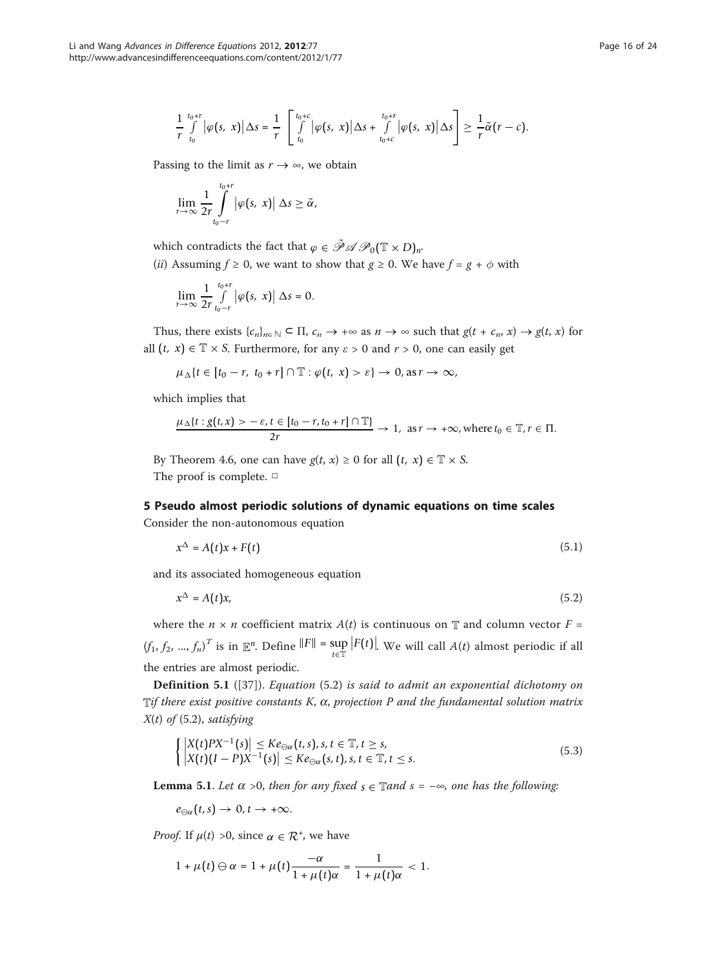$$
\frac{1}{r}\int\limits_{t_0}^{t_0+r}\left|\varphi(s, x)\right|\Delta s=\frac{1}{r}\left[\int\limits_{t_0}^{t_0+c}\left|\varphi(s, x)\right|\Delta s+\int\limits_{t_0+c}^{t_0+r}\left|\varphi(s, x)\right|\Delta s\right]\geq \frac{1}{r}\tilde{\alpha}(r-c).
$$

Passing to the limit as  $r \to \infty$ , we obtain

$$
\lim_{r\to\infty}\frac{1}{2r}\int_{t_0-r}^{t_0+r}|\varphi(s, x)|\Delta s\geq \tilde{\alpha},
$$

which contradicts the fact that  $\varphi \in \tilde{\mathcal{P}} \mathcal{A} \mathcal{P}_0(\mathbb{T} \times D)_n$ .

(*ii*) Assuming  $f \ge 0$ , we want to show that  $g \ge 0$ . We have  $f = g + \phi$  with

$$
\lim_{r\to\infty}\frac{1}{2r}\int_{t_0-r}^{t_0+r}|\varphi(s, x)|\Delta s=0.
$$

Thus, there exists  ${c_n}_{n \in \mathbb{N}} \subset \Pi$ ,  $c_n \to +\infty$  as  $n \to \infty$  such that  $g(t + c_n, x) \to g(t, x)$  for all  $(t, x) \in \mathbb{T} \times S$ . Furthermore, for any  $\varepsilon > 0$  and  $r > 0$ , one can easily get

$$
\mu_{\Delta}\{t\in [t_0-r,\ t_0+r]\cap \mathbb{T}: \varphi(t,\ x)\gt\varepsilon\}\to 0, \text{ as } r\to\infty,
$$

which implies that

$$
\frac{\mu_{\Delta}\{t: g(t,x) > -\varepsilon, t \in [t_0 - r, t_0 + r] \cap \mathbb{T}\}}{2r} \to 1, \text{ as } r \to +\infty, \text{ where } t_0 \in \mathbb{T}, r \in \Pi.
$$

By Theorem 4.6, one can have  $g(t, x) \ge 0$  for all  $(t, x) \in \mathbb{T} \times S$ . The proof is complete. □

## 5 Pseudo almost periodic solutions of dynamic equations on time scales

Consider the non-autonomous equation

$$
x^{\Delta} = A(t)x + F(t) \tag{5.1}
$$

and its associated homogeneous equation

$$
x^{\Delta} = A(t)x,\tag{5.2}
$$

where the  $n \times n$  coefficient matrix  $A(t)$  is continuous on T and column vector  $F =$  $(f_1, f_2, ..., f_n)^T$  is in  $\mathbb{E}^n$ . Define  $\|F\| = \sup_{t \in \mathbb{T}} |F(t)|$ . We will call  $A(t)$  almost periodic if all the entries are almost periodic.

**Definition 5.1** ([\[37](#page-23-0)]). Equation (5.2) is said to admit an exponential dichotomy on  $\mathbb{T}$ if there exist positive constants K,  $\alpha$ , projection P and the fundamental solution matrix  $X(t)$  of (5.2), satisfying

$$
\begin{cases} \left| X(t)PX^{-1}(s) \right| \leq Ke_{\ominus\alpha}(t,s), s, t \in \mathbb{T}, t \geq s, \\ \left| X(t)(I-P)X^{-1}(s) \right| \leq Ke_{\ominus\alpha}(s,t), s, t \in \mathbb{T}, t \leq s. \end{cases}
$$
\n
$$
(5.3)
$$

**Lemma 5.1**. Let  $\alpha$  >0, then for any fixed  $s \in \mathbb{T}$  and  $s = -\infty$ , one has the following:

$$
e_{\ominus\alpha}(t,s)\to 0, t\to+\infty.
$$

*Proof.* If  $\mu(t) > 0$ , since  $\alpha \in \mathcal{R}^+$ , we have

$$
1+\mu(t)\ominus\alpha=1+\mu(t)\frac{-\alpha}{1+\mu(t)\alpha}=\frac{1}{1+\mu(t)\alpha}<1.
$$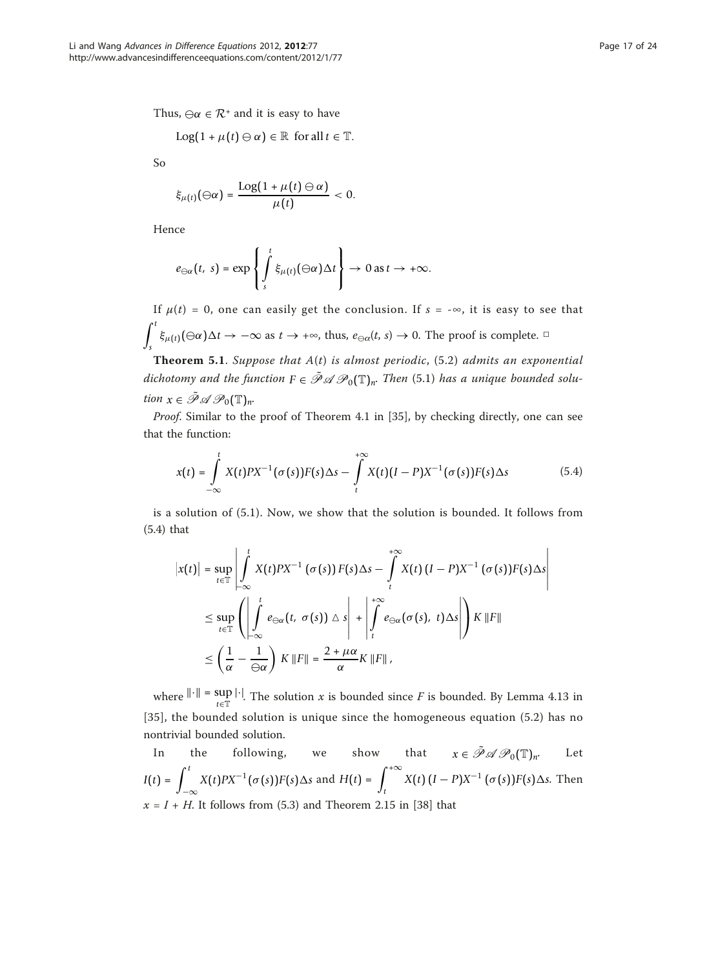$$
Log(1 + \mu(t) \ominus \alpha) \in \mathbb{R} \text{ for all } t \in \mathbb{T}.
$$

So

$$
\xi_{\mu(t)}(\ominus\alpha)=\frac{\text{Log}(1+\mu(t)\ominus\alpha)}{\mu(t)}<0.
$$

Hence

$$
e_{\ominus\alpha}(t, s) = \exp\left\{\int_s^t \xi_{\mu(t)}(\ominus\alpha)\Delta t\right\} \to 0 \text{ as } t \to +\infty.
$$

If  $\mu(t) = 0$ , one can easily get the conclusion. If  $s = -\infty$ , it is easy to see that  $\int_0^t$  $\int_{s} \xi_{\mu(t)}(\Theta \alpha) \Delta t \to -\infty$  as  $t \to +\infty$ , thus,  $e_{\Theta \alpha}(t, s) \to 0$ . The proof is complete. □

**Theorem 5.1.** Suppose that  $A(t)$  is almost periodic, (5.2) admits an exponential dichotomy and the function  $F \in \tilde{\mathcal{P}} \mathcal{A} \mathcal{P}_0(\mathbb{T})_n$ . Then (5.1) has a unique bounded solution  $x \in \tilde{\mathcal{P}} \mathcal{A} \mathcal{P}_0(\mathbb{T})_n$ .

Proof. Similar to the proof of Theorem 4.1 in [\[35](#page-23-0)], by checking directly, one can see that the function:

$$
x(t) = \int_{-\infty}^{t} X(t)PX^{-1}(\sigma(s))F(s)\Delta s - \int_{t}^{+\infty} X(t)(I-P)X^{-1}(\sigma(s))F(s)\Delta s
$$
\n(5.4)

is a solution of (5.1). Now, we show that the solution is bounded. It follows from (5.4) that

$$
\begin{aligned}\n|x(t)| &= \sup_{t \in \mathbb{T}} \left| \int_{-\infty}^{t} X(t)PX^{-1}(\sigma(s)) F(s) \Delta s - \int_{t}^{+\infty} X(t) (I - P)X^{-1}(\sigma(s)) F(s) \Delta s \right| \\
&\leq \sup_{t \in \mathbb{T}} \left( \left| \int_{-\infty}^{t} e_{\Theta \alpha}(t, \sigma(s)) \Delta s \right| + \left| \int_{t}^{+\infty} e_{\Theta \alpha}(\sigma(s), t) \Delta s \right| \right) K \|F\| \\
&\leq \left( \frac{1}{\alpha} - \frac{1}{\Theta \alpha} \right) K \|F\| = \frac{2 + \mu \alpha}{\alpha} K \|F\| \,.\n\end{aligned}
$$

where  $\|\cdot\| = \sup_{t \in \mathbb{T}} |\cdot|$ . The solution x is bounded since F is bounded. By Lemma 4.13 in [[35](#page-23-0)], the bounded solution is unique since the homogeneous equation (5.2) has no nontrivial bounded solution.

In the following, we show that 
$$
x \in \tilde{\mathcal{P}}\mathcal{A}\mathcal{P}_0(\mathbb{T})_n
$$
. Let  $I(t) = \int_{-\infty}^t X(t)PX^{-1}(\sigma(s))F(s)\Delta s$  and  $H(t) = \int_t^{+\infty} X(t)(I - P)X^{-1}(\sigma(s))F(s)\Delta s$ . Then  $x = I + H$ . It follows from (5.3) and Theorem 2.15 in [38] that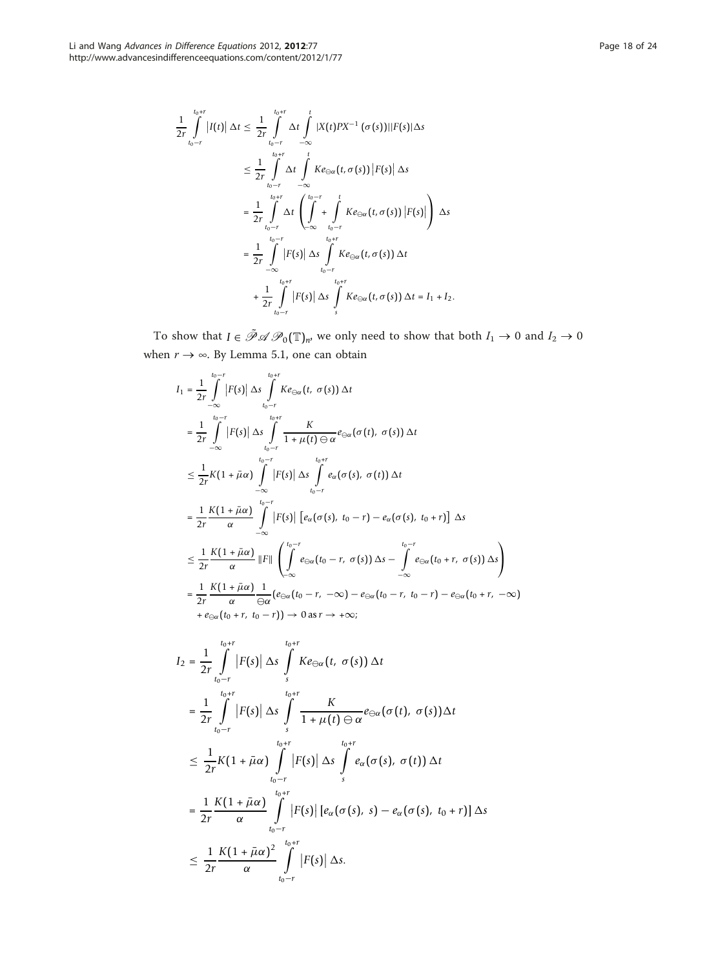$$
\frac{1}{2r} \int_{t_0-r}^{t_0+r} |I(t)| \Delta t \leq \frac{1}{2r} \int_{t_0-r}^{t_0+r} \Delta t \int_{-\infty}^{t} |X(t)PX^{-1}(\sigma(s))||F(s)| \Delta s
$$
\n
$$
\leq \frac{1}{2r} \int_{t_0-r}^{t_0+r} \Delta t \int_{-\infty}^{t_0+r} K e_{\ominus \alpha}(t, \sigma(s)) |F(s)| \Delta s
$$
\n
$$
= \frac{1}{2r} \int_{t_0-r}^{t_0+r} \Delta t \left( \int_{-\infty}^{t_0-r} + \int_{t_0-r}^{t} K e_{\ominus \alpha}(t, \sigma(s)) |F(s)| \right) \Delta s
$$
\n
$$
= \frac{1}{2r} \int_{-\infty}^{t_0-r} |F(s)| \Delta s \int_{t_0-r}^{t_0+r} K e_{\ominus \alpha}(t, \sigma(s)) \Delta t
$$
\n
$$
+ \frac{1}{2r} \int_{t_0-r}^{t_0+r} |F(s)| \Delta s \int_{s}^{t_0+r} K e_{\ominus \alpha}(t, \sigma(s)) \Delta t = I_1 + I_2.
$$

To show that  $I \in \tilde{\mathcal{P}} \mathcal{A} \mathcal{P}_0(\mathbb{T})_n$ , we only need to show that both  $I_1 \to 0$  and  $I_2 \to 0$ when  $r \rightarrow \infty$ . By Lemma 5.1, one can obtain

$$
I_{1} = \frac{1}{2r} \int_{-\infty}^{t_{0}-r} |F(s)| \Delta s \int_{t_{0}-r}^{t_{0}+r} K e_{\Theta\alpha}(t, \sigma(s)) \Delta t
$$
  
\n
$$
= \frac{1}{2r} \int_{-\infty}^{t_{0}-r} |F(s)| \Delta s \int_{t_{0}-r}^{t_{0}+r} \frac{K}{1+\mu(t) \Theta\alpha} e_{\Theta\alpha}(\sigma(t), \sigma(s)) \Delta t
$$
  
\n
$$
\leq \frac{1}{2r} K(1+\bar{\mu}\alpha) \int_{-\infty}^{t_{0}-r} |F(s)| \Delta s \int_{t_{0}-r}^{t_{0}+r} e_{\alpha}(\sigma(s), \sigma(t)) \Delta t
$$
  
\n
$$
= \frac{1}{2r} \frac{K(1+\bar{\mu}\alpha)}{\alpha} \int_{-\infty}^{t_{0}-r} |F(s)| [e_{\alpha}(\sigma(s), t_{0}-r) - e_{\alpha}(\sigma(s), t_{0}+r)] \Delta s
$$
  
\n
$$
\leq \frac{1}{2r} \frac{K(1+\bar{\mu}\alpha)}{\alpha} ||F|| \left( \int_{-\infty}^{t_{0}-r} e_{\Theta\alpha}(t_{0}-r, \sigma(s)) \Delta s - \int_{-\infty}^{t_{0}-r} e_{\Theta\alpha}(t_{0}+r, \sigma(s)) \Delta s \right)
$$
  
\n
$$
= \frac{1}{2r} \frac{K(1+\bar{\mu}\alpha)}{\alpha} \frac{1}{\Theta\alpha} (e_{\Theta\alpha}(t_{0}-r, -\infty) - e_{\Theta\alpha}(t_{0}-r, t_{0}-r) - e_{\Theta\alpha}(t_{0}+r, -\infty)
$$
  
\n
$$
+ e_{\Theta\alpha}(t_{0}+r, t_{0}-r)) \rightarrow 0 \text{ as } r \rightarrow +\infty;
$$

$$
I_2 = \frac{1}{2r} \int_{t_0-r}^{t_0+r} |F(s)| \, \Delta s \int_{s}^{t_0+r} K e_{\Theta \alpha}(t, \, \sigma(s)) \, \Delta t
$$
\n
$$
= \frac{1}{2r} \int_{t_0-r}^{t_0+r} |F(s)| \, \Delta s \int_{s}^{t_0+r} \frac{K}{1+\mu(t) \, \Theta \, \alpha} e_{\Theta \alpha}(\sigma(t), \, \sigma(s)) \, \Delta t
$$
\n
$$
\leq \frac{1}{2r} K(1+\bar{\mu}\alpha) \int_{t_0-r}^{t_0+r} |F(s)| \, \Delta s \int_{s}^{t_0+r} e_{\alpha}(\sigma(s), \, \sigma(t)) \, \Delta t
$$
\n
$$
= \frac{1}{2r} \frac{K(1+\bar{\mu}\alpha)}{\alpha} \int_{t_0-r}^{t_0+r} |F(s)| [e_{\alpha}(\sigma(s), s) - e_{\alpha}(\sigma(s), t_0+r)] \, \Delta s
$$
\n
$$
\leq \frac{1}{2r} \frac{K(1+\bar{\mu}\alpha)^2}{\alpha} \int_{t_0-r}^{t_0+r} |F(s)| \, \Delta s.
$$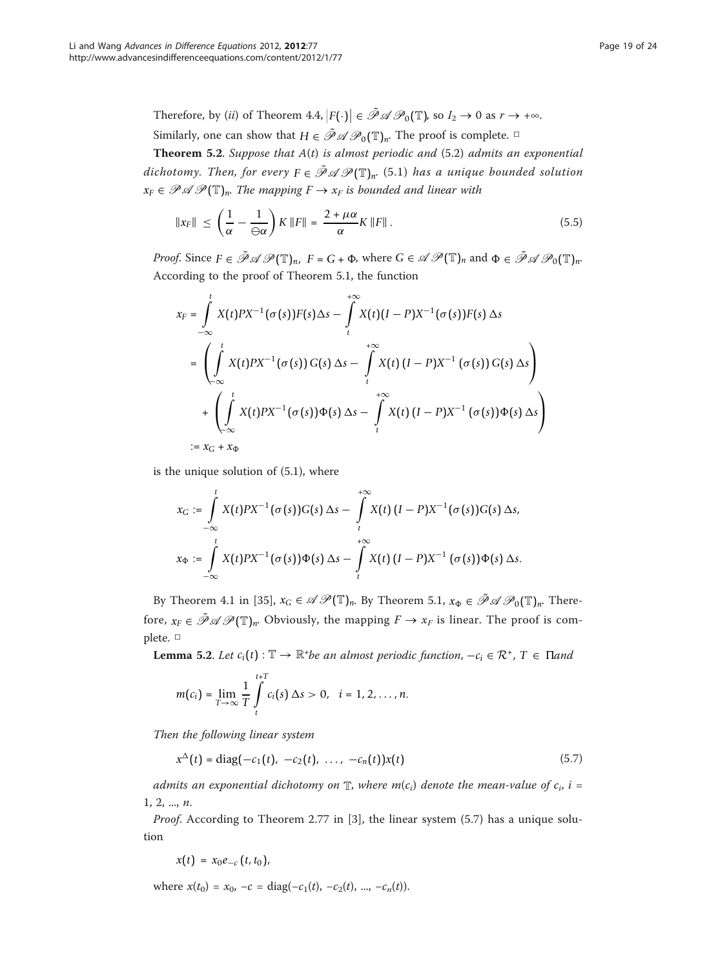Therefore, by (*ii*) of Theorem 4.4,  $|F(\cdot)| \in \tilde{\mathcal{P}} \mathcal{AP}_0(\mathbb{T})$ , so  $I_2 \to 0$  as  $r \to +\infty$ . Similarly, one can show that  $H \in \tilde{\mathcal{P}} \mathcal{A} \mathcal{P}_0(\mathbb{T})_n$ . The proof is complete.  $\Box$ 

**Theorem 5.2.** Suppose that  $A(t)$  is almost periodic and  $(5.2)$  admits an exponential dichotomy. Then, for every  $F \in \tilde{\mathcal{P}} \mathcal{A} \mathcal{P}(\mathbb{T})_{n}$ . (5.1) has a unique bounded solution  $x_F \in \mathcal{P} \mathcal{A} \mathcal{P}(\mathbb{T})_n$ . The mapping  $F \to x_F$  is bounded and linear with

$$
\|x_F\| \le \left(\frac{1}{\alpha} - \frac{1}{\ominus \alpha}\right) K \|F\| = \frac{2 + \mu \alpha}{\alpha} K \|F\|.
$$
\n(5.5)

*Proof.* Since  $F \in \tilde{\mathcal{P}} \mathcal{A} \mathcal{P}(\mathbb{T})_n$ ,  $F = G + \Phi$ , where  $G \in \mathcal{A} \mathcal{P}(\mathbb{T})_n$  and  $\Phi \in \tilde{\mathcal{P}} \mathcal{A} \mathcal{P}_0(\mathbb{T})_n$ . According to the proof of Theorem 5.1, the function

$$
x_F = \int_{-\infty}^t X(t)PX^{-1}(\sigma(s))F(s)\Delta s - \int_t^{+\infty} X(t)(I-P)X^{-1}(\sigma(s))F(s)\Delta s
$$
  
\n
$$
= \left(\int_{-\infty}^t X(t)PX^{-1}(\sigma(s))G(s)\Delta s - \int_t^{+\infty} X(t)(I-P)X^{-1}(\sigma(s))G(s)\Delta s\right)
$$
  
\n
$$
+ \left(\int_{-\infty}^t X(t)PX^{-1}(\sigma(s))\Phi(s)\Delta s - \int_t^{+\infty} X(t)(I-P)X^{-1}(\sigma(s))\Phi(s)\Delta s\right)
$$
  
\n
$$
:= x_G + x_{\Phi}
$$

is the unique solution of (5.1), where

$$
x_G := \int\limits_{-\infty}^t X(t)PX^{-1}(\sigma(s))G(s) \Delta s - \int\limits_t^{+\infty} X(t) (I - P)X^{-1}(\sigma(s))G(s) \Delta s,
$$
  

$$
x_{\Phi} := \int\limits_{-\infty}^t X(t)PX^{-1}(\sigma(s))\Phi(s) \Delta s - \int\limits_t^{+\infty} X(t) (I - P)X^{-1}(\sigma(s))\Phi(s) \Delta s.
$$

By Theorem 4.1 in [[35\]](#page-23-0),  $x_G \in \mathscr{A}P(\mathbb{T})_n$ . By Theorem 5.1,  $x_{\Phi} \in \tilde{P} \mathscr{A}P(\mathbb{T})_n$ . Therefore,  $x_F \in \tilde{\mathcal{P}} \mathcal{A} \mathcal{P}(\mathbb{T})_n$ . Obviously, the mapping  $F \to x_F$  is linear. The proof is complete. □

**Lemma 5.2.** Let  $c_i(t)$  :  $\mathbb{T} \to \mathbb{R}^+$ be an almost periodic function,  $-c_i \in \mathcal{R}^+$ ,  $T \in \Pi$ and

$$
m(c_i)=\lim_{T\to\infty}\frac{1}{T}\int\limits_t^{t+T}c_i(s)\Delta s>0,\quad i=1,2,\ldots,n.
$$

Then the following linear system

$$
x^{\Delta}(t) = \text{diag}(-c_1(t), -c_2(t), \ldots, -c_n(t))x(t) \tag{5.7}
$$

admits an exponential dichotomy on  $\mathbb T$ , where m(c<sub>i</sub>) denote the mean-value of  $c_i$ , i = 1, 2, ..., n.

Proof. According to Theorem 2.77 in [\[3](#page-22-0)], the linear system (5.7) has a unique solution

 $x(t) = x_0 e_{-c} (t, t_0),$ 

where  $x(t_0) = x_0$ ,  $-c = \text{diag}(-c_1(t), -c_2(t), ..., -c_n(t)).$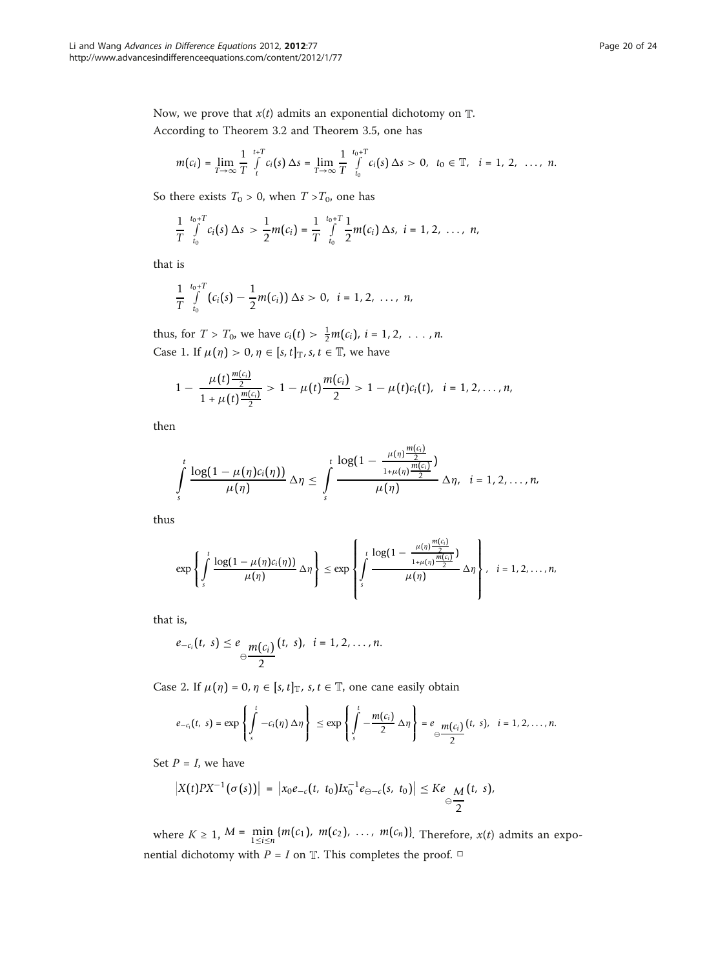Page 20 of 24

Now, we prove that  $x(t)$  admits an exponential dichotomy on  $\mathbb{T}$ . According to Theorem 3.2 and Theorem 3.5, one has

$$
m(c_i) = \lim_{T \to \infty} \frac{1}{T} \int_{t}^{t+T} c_i(s) \, \Delta s = \lim_{T \to \infty} \frac{1}{T} \int_{t_0}^{t_0+T} c_i(s) \, \Delta s > 0, \ \ t_0 \in \mathbb{T}, \ \ i = 1, 2, \ \ldots, \ n.
$$

So there exists  $T_0 > 0$ , when  $T > T_0$ , one has

$$
\frac{1}{T}\int_{t_0}^{t_0+T}c_i(s)\Delta s > \frac{1}{2}m(c_i) = \frac{1}{T}\int_{t_0}^{t_0+T}\frac{1}{2}m(c_i)\Delta s, \ i = 1, 2, \ \ldots, \ n,
$$

that is

$$
\frac{1}{T}\int_{t_0}^{t_0+T}(c_i(s)-\frac{1}{2}m(c_i))\Delta s>0, \ \ i=1,2,\ldots,\ n,
$$

thus, for  $T > T_0$ , we have  $c_i(t) > \frac{1}{2}m(c_i)$ ,  $i = 1, 2, ..., n$ . Case 1. If  $\mu(\eta) > 0, \eta \in [s, t]_{\mathbb{T}}$ ,  $s, t \in \mathbb{T}$ , we have

$$
1 - \frac{\mu(t) \frac{m(c_i)}{2}}{1 + \mu(t) \frac{m(c_i)}{2}} > 1 - \mu(t) \frac{m(c_i)}{2} > 1 - \mu(t) c_i(t), \quad i = 1, 2, ..., n,
$$

then

$$
\int_{s}^{t} \frac{\log(1-\mu(\eta)c_i(\eta))}{\mu(\eta)} \Delta \eta \leq \int_{s}^{t} \frac{\log(1-\frac{\mu(\eta)\frac{m(c_i)}{2}}{1+\mu(\eta)\frac{m(c_i)}{2}})}{\mu(\eta)} \Delta \eta, \quad i=1,2,\ldots,n,
$$

*m*(*ci*)

thus

$$
\exp\left\{\int\limits_{s}^{t}\frac{\log(1-\mu(\eta)c_i(\eta))}{\mu(\eta)}\,\Delta\eta\right\}\leq \exp\left\{\int\limits_{s}^{t}\frac{\log(1-\frac{\mu(\eta)\frac{m(c_i)}{2}}{\frac{1+\mu(\eta)\frac{m(c_i)}{2}}{2}})}{\mu(\eta)}\,\Delta\eta\right\},\quad i=1,2,\ldots,n,
$$

that is,

$$
e_{-c_i}(t, s) \leq e_{\frac{m(c_i)}{2}}(t, s), i = 1, 2, ..., n.
$$

Case 2. If  $\mu(\eta) = 0, \eta \in [s, t]_{\mathbb{T}}$ ,  $s, t \in \mathbb{T}$ , one cane easily obtain

$$
e_{-c_i}(t, s) = \exp\left\{\int_s^t -c_i(\eta)\,\Delta\eta\right\} \leq \exp\left\{\int_s^t -\frac{m(c_i)}{2}\,\Delta\eta\right\} = e_{\Theta}\frac{m(c_i)}{2}(t, s), \quad i=1,2,\ldots,n.
$$

Set  $P = I$ , we have

$$
\left|X(t)PX^{-1}(\sigma(s))\right| = \left|x_0e_{-c}(t, t_0)Ix_0^{-1}e_{\Theta-c}(s, t_0)\right| \leq Ke_{\Theta} \frac{M}{2}(t, s),
$$

where  $K \ge 1$ ,  $M = \min_{1 \le i \le n} \{m(c_1), m(c_2), \ldots, m(c_n)\}\)$ . Therefore,  $x(t)$  admits an exponential dichotomy with  $P = I$  on  $T$ . This completes the proof.  $\Box$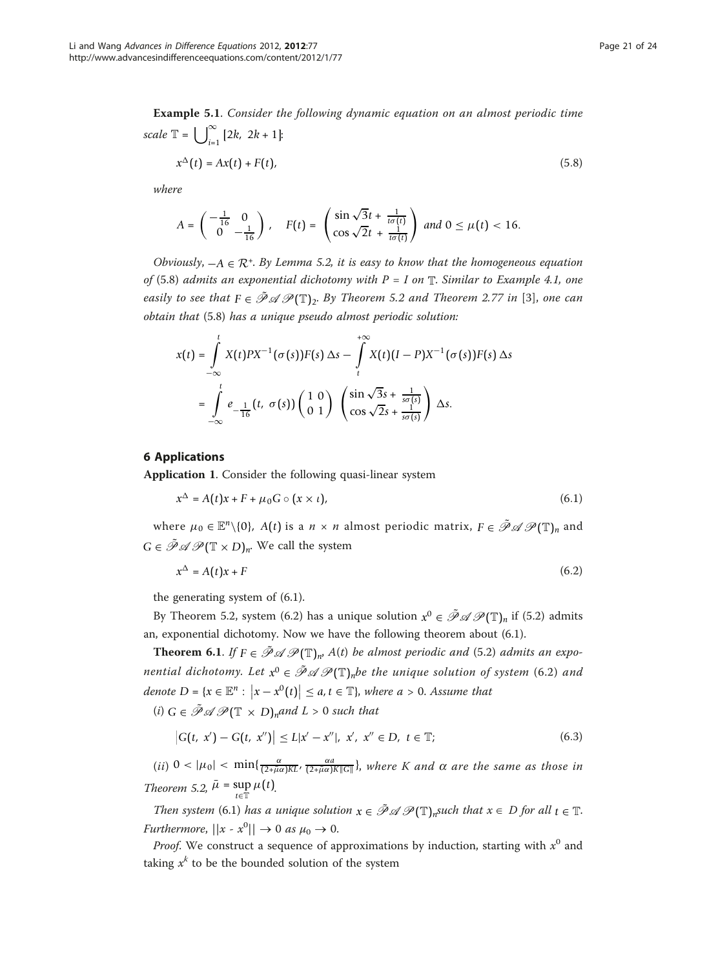Example 5.1. Consider the following dynamic equation on an almost periodic time  $scale \mathbb{T} = \bigcup_{i=1}^{\infty} [2k, 2k+1]$ :

$$
x^{\Delta}(t) = Ax(t) + F(t),
$$
\n(5.8)

where

$$
A = \begin{pmatrix} -\frac{1}{16} & 0 \\ 0 & -\frac{1}{16} \end{pmatrix}, \quad F(t) = \begin{pmatrix} \sin \sqrt{3}t + \frac{1}{t\sigma(t)} \\ \cos \sqrt{2}t + \frac{1}{t\sigma(t)} \end{pmatrix} \text{ and } 0 \le \mu(t) < 16.
$$

Obviously,  $-A \in \mathcal{R}^+$ . By Lemma 5.2, it is easy to know that the homogeneous equation of (5.8) admits an exponential dichotomy with  $P = I$  on  $T$ . Similar to Example 4.1, one easily to see that  $F \in \tilde{\mathcal{P}} \mathcal{A} \mathcal{P}(\mathbb{T})$ . By Theorem 5.2 and Theorem 2.77 in [[3\]](#page-22-0), one can obtain that (5.8) has a unique pseudo almost periodic solution:

$$
x(t) = \int_{-\infty}^{t} X(t)PX^{-1}(\sigma(s))F(s) \Delta s - \int_{t}^{+\infty} X(t)(I - P)X^{-1}(\sigma(s))F(s) \Delta s
$$
  

$$
= \int_{-\infty}^{t} e_{-\frac{1}{16}}(t, \sigma(s))\begin{pmatrix} 1 & 0 \\ 0 & 1 \end{pmatrix} \begin{pmatrix} \sin \sqrt{3}s + \frac{1}{s\sigma(s)} \\ \cos \sqrt{2}s + \frac{1}{s\sigma(s)} \end{pmatrix} \Delta s.
$$

#### 6 Applications

Application 1. Consider the following quasi-linear system

$$
x^{\Delta} = A(t)x + F + \mu_0 G \circ (x \times \iota), \tag{6.1}
$$

where  $\mu_0 \in \mathbb{E}^n \setminus \{0\}$ ,  $A(t)$  is a  $n \times n$  almost periodic matrix,  $F \in \tilde{\mathcal{P}}\mathcal{A}\mathcal{P}(\mathbb{T})_n$  and  $G \in \tilde{\mathscr{P}} \mathscr{A} \mathscr{P} (\mathbb{T} \times D)_n$ . We call the system

$$
x^{\Delta} = A(t)x + F \tag{6.2}
$$

the generating system of (6.1).

By Theorem 5.2, system (6.2) has a unique solution  $x^0 \in \tilde{\mathcal{P}} \mathcal{A} \mathcal{P}(\mathbb{T})_n$  if (5.2) admits an, exponential dichotomy. Now we have the following theorem about (6.1).

**Theorem 6.1.** If  $F \in \tilde{\mathcal{P}} \mathcal{A} \mathcal{P}(\mathbb{T})_n$ ,  $A(t)$  be almost periodic and (5.2) admits an exponential dichotomy. Let  $x^0 \in \tilde{\mathcal{P}} \mathcal{A} \mathcal{P}(\mathbb{T})$ <sub>n</sub>be the unique solution of system (6.2) and denote  $D = \{x \in \mathbb{E}^n : |x - x^0(t)| \le a, t \in \mathbb{T}\}$ , where  $a > 0$ . Assume that

(i)  $G \in \tilde{\mathcal{P}} \mathcal{A} \mathcal{P}(\mathbb{T} \times D)$ <sub>n</sub>and  $L > 0$  such that

$$
\left| G(t, x') - G(t, x'') \right| \le L|x' - x''|, x', x'' \in D, t \in \mathbb{T};
$$
\n(6.3)

(*ii*)  $0 < |\mu_0| < \min\{\frac{\alpha}{(2+\bar{\mu}\alpha)KL}, \frac{\alpha a}{(2+\bar{\mu}\alpha)K\|\mathcal{G}\|}\}\}$ , where K and  $\alpha$  are the same as those in Theorem 5.2,  $\bar{\mu} = \sup_{t \in \mathbb{T}} \mu(t)$ .

Then system (6.1) has a unique solution  $x \in \tilde{\mathcal{P}} \mathcal{A} \mathcal{P}(\mathbb{T})$ <sub>n</sub>such that  $x \in D$  for all  $t \in \mathbb{T}$ . Furthermore,  $||x - x^0|| \rightarrow 0$  as  $\mu_0 \rightarrow 0$ .

*Proof.* We construct a sequence of approximations by induction, starting with  $x^0$  and taking  $x<sup>k</sup>$  to be the bounded solution of the system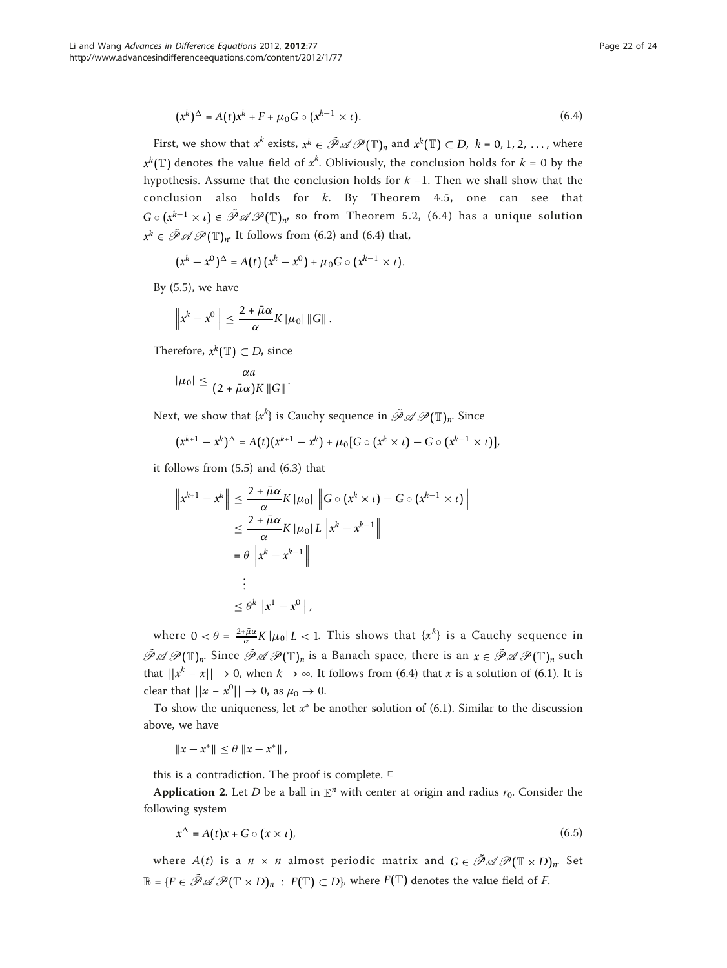$$
(x^k)^\Delta = A(t)x^k + F + \mu_0 G \circ (x^{k-1} \times \iota). \tag{6.4}
$$

First, we show that  $x^k$  exists,  $x^k \in \tilde{\mathcal{P}} \mathcal{A} \mathcal{P}(\mathbb{T})_n$  and  $x^k(\mathbb{T}) \subset D$ ,  $k = 0, 1, 2, ...,$  where  $x^k(\mathbb{T})$  denotes the value field of  $x^k$ . Obliviously, the conclusion holds for  $k$  = 0 by the hypothesis. Assume that the conclusion holds for  $k - 1$ . Then we shall show that the conclusion also holds for k. By Theorem 4.5, one can see that  $G \circ (x^{k-1} \times \iota) \in \tilde{\mathcal{P}} \mathcal{A} \mathcal{P}(\mathbb{T})_n$ , so from Theorem 5.2, (6.4) has a unique solution  $x^k \in \tilde{\mathcal{P}} \mathcal{A} \mathcal{P}(\mathbb{T})_n$ . It follows from (6.2) and (6.4) that,

$$
(x^{k} - x^{0})^{\Delta} = A(t) (x^{k} - x^{0}) + \mu_{0} G \circ (x^{k-1} \times \iota).
$$

By  $(5.5)$ , we have

$$
\left\|x^{k}-x^{0}\right\| \leq \frac{2+\bar{\mu}\alpha}{\alpha}K\left|\mu_{0}\right|\left\|G\right\|.
$$

Therefore,  $x^k(\mathbb{T}) \subset D$ , since

$$
|\mu_0| \leq \frac{\alpha a}{(2+\bar{\mu}\alpha)K\left\|G\right\|}.
$$

Next, we show that  $\{x^k\}$  is Cauchy sequence in  $\tilde{\mathscr{P}} \mathscr{A} \mathscr{P}(\mathbb{T})_{n}$ . Since

$$
(x^{k+1} - x^k)^{\Delta} = A(t)(x^{k+1} - x^k) + \mu_0[G \circ (x^k \times \iota) - G \circ (x^{k-1} \times \iota)],
$$

it follows from (5.5) and (6.3) that

$$
\|x^{k+1} - x^k\| \le \frac{2 + \bar{\mu}\alpha}{\alpha} K \|\mu_0\| \|\bar{G} \circ (x^k \times \iota) - \bar{G} \circ (x^{k-1} \times \iota)\|
$$
  

$$
\le \frac{2 + \bar{\mu}\alpha}{\alpha} K \|\mu_0\| L \|\bar{x}^k - x^{k-1}\|
$$
  

$$
= \theta \|\bar{x}^k - x^{k-1}\|
$$
  

$$
\vdots
$$
  

$$
\le \theta^k \|\bar{x}^1 - x^0\|,
$$

where  $0 < \theta = \frac{2 + \bar{\mu}\alpha}{\alpha} K |\mu_0| L < 1$ . This shows that  $\{x^k\}$  is a Cauchy sequence in  $\tilde{\mathcal{P}} \mathcal{A} \mathcal{P}(\mathbb{T})_n$ . Since  $\tilde{\mathcal{P}} \mathcal{A} \mathcal{P}(\mathbb{T})_n$  is a Banach space, there is an  $x \in \tilde{\mathcal{P}} \mathcal{A} \mathcal{P}(\mathbb{T})_n$  such that  $||x^k - x|| \to 0$ , when  $k \to \infty$ . It follows from (6.4) that x is a solution of (6.1). It is clear that  $||x - x^0|| \to 0$ , as  $\mu_0 \to 0$ .

To show the uniqueness, let  $x^*$  be another solution of (6.1). Similar to the discussion above, we have

$$
||x - x^*|| \le \theta \, ||x - x^*|| \, ,
$$

this is a contradiction. The proof is complete.  $\Box$ 

**Application 2.** Let D be a ball in  $\mathbb{E}^n$  with center at origin and radius  $r_0$ . Consider the following system

$$
x^{\Delta} = A(t)x + G \circ (x \times \iota), \tag{6.5}
$$

where  $A(t)$  is a  $n \times n$  almost periodic matrix and  $G \in \tilde{\mathcal{P}} \mathcal{A} \mathcal{P} (\mathbb{T} \times D)_n$ . Set  $\mathbb{B} = \{F \in \tilde{\mathcal{P}} \mathcal{A} \mathcal{P}(\mathbb{T} \times D)_n : F(\mathbb{T}) \subset D\}$ , where  $F(\mathbb{T})$  denotes the value field of F.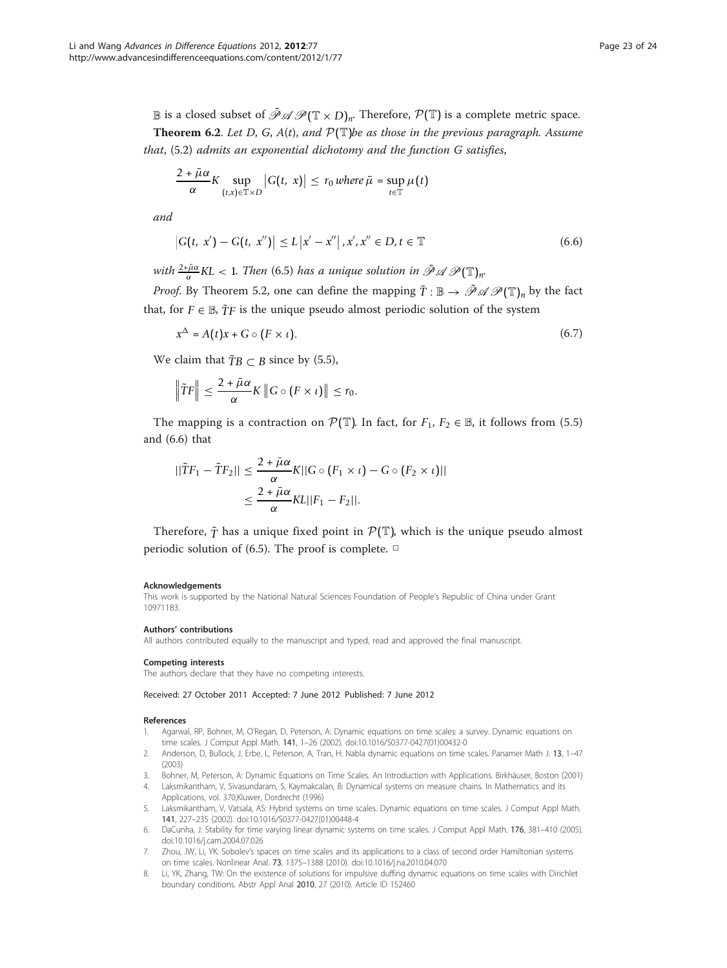<span id="page-22-0"></span>B is a closed subset of  $\tilde{\mathcal{P}}\mathcal{A}\mathcal{P}(\mathbb{T} \times D)_{n}$ . Therefore,  $\mathcal{P}(\mathbb{T})$  is a complete metric space. **Theorem 6.2.** Let D, G,  $A(t)$ , and  $P(\mathbb{T})$ be as those in the previous paragraph. Assume

that, (5.2) admits an exponential dichotomy and the function G satisfies,  $2 + \bar{\mu}\alpha$ 

$$
\frac{1+\mu\alpha}{\alpha}K\sup_{(t,x)\in\mathbb{T}\times D}|G(t, x)|\leq r_0\text{ where }\bar{\mu}=\sup_{t\in\mathbb{T}}\mu(t)
$$

and

$$
\left| G(t, x') - G(t, x'') \right| \le L |x' - x''|, x', x'' \in D, t \in \mathbb{T}
$$
\n(6.6)

with  $\frac{2+\bar{\mu}\alpha}{\alpha}KL < 1$ . Then (6.5) has a unique solution in  $\tilde{\mathcal{P}}\mathcal{A}\mathcal{P}(\mathbb{T})_{n}$ .

*Proof.* By Theorem 5.2, one can define the mapping  $\tilde{T}: \mathbb{B} \to \tilde{\mathcal{P}} \mathcal{A} \mathcal{P}(\mathbb{T})_n$  by the fact that, for  $F \in \mathbb{B}$ ,  $\tilde{T}F$  is the unique pseudo almost periodic solution of the system

$$
x^{\Delta} = A(t)x + G \circ (F \times \iota). \tag{6.7}
$$

We claim that  $\tilde{T}B \subset B$  since by (5.5),

$$
\left\|\tilde{T}F\right\| \leq \frac{2+\bar{\mu}\alpha}{\alpha}K\left\|G\circ\left(F\times\iota\right)\right\| \leq r_0.
$$

The mapping is a contraction on  $\mathcal{P}(\mathbb{T})$ . In fact, for  $F_1, F_2 \in \mathbb{B}$ , it follows from (5.5) and (6.6) that

$$
||\tilde{T}F_1 - \tilde{T}F_2|| \le \frac{2 + \bar{\mu}\alpha}{\alpha} K||G \circ (F_1 \times \iota) - G \circ (F_2 \times \iota)||
$$
  

$$
\le \frac{2 + \bar{\mu}\alpha}{\alpha} KL||F_1 - F_2||.
$$

Therefore,  $\tilde{\tau}$  has a unique fixed point in  $\mathcal{P}(\mathbb{T})$ , which is the unique pseudo almost periodic solution of (6.5). The proof is complete.  $\Box$ 

#### Acknowledgements

This work is supported by the National Natural Sciences Foundation of People's Republic of China under Grant 10971183.

#### Authors' contributions

All authors contributed equally to the manuscript and typed, read and approved the final manuscript.

#### Competing interests

The authors declare that they have no competing interests.

#### Received: 27 October 2011 Accepted: 7 June 2012 Published: 7 June 2012

#### References

- 1. Agarwal, RP, Bohner, M, O'Regan, D, Peterson, A: Dynamic equations on time scales: a survey. Dynamic equations on time scales. J Comput Appl Math. 141, 1–26 (2002). doi:10.1016/S0377-0427(01)00432-0
- Anderson, D, Bullock, J, Erbe, L, Peterson, A, Tran, H: Nabla dynamic equations on time scales. Panamer Math J. 13, 1-47 (2003)
- 3. Bohner, M, Peterson, A: Dynamic Equations on Time Scales. An Introduction with Applications. Birkhäuser, Boston (2001)
- 4. Laksmikantham, V, Sivasundaram, S, Kaymakcalan, B: Dynamical systems on measure chains. In Mathematics and its Applications, vol. 370,Kluwer, Dordrecht (1996)
- 5. Laksmikantham, V, Vatsala, AS: Hybrid systems on time scales. Dynamic equations on time scales. J Comput Appl Math. 141, 227–235 (2002). doi:10.1016/S0377-0427(01)00448-4
- 6. DaCunha, J: Stability for time varying linear dynamic systems on time scales. J Comput Appl Math. 176, 381–410 (2005). doi:10.1016/j.cam.2004.07.026
- 7. Zhou, JW, Li, YK: Sobolev's spaces on time scales and its applications to a class of second order Hamiltonian systems on time scales. Nonlinear Anal. 73, 1375–1388 (2010). doi:10.1016/j.na.2010.04.070
- 8. Li, YK, Zhang, TW: On the existence of solutions for impulsive duffing dynamic equations on time scales with Dirichlet boundary conditions. Abstr Appl Anal 2010, 27 (2010). Article ID 152460